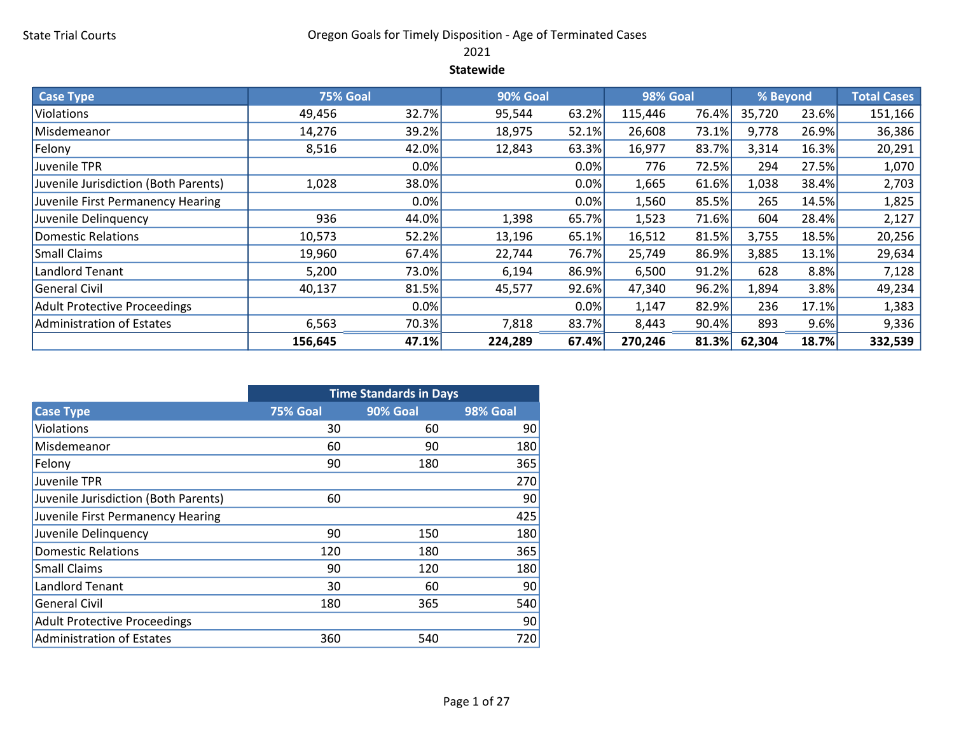# State Trial Courts **County Communist County Constructed Cases** Oregon Goals for Timely Disposition - Age of Terminated Cases

2021

#### Statewide

| <b>Case Type</b>                     | <b>75% Goal</b> |         | 90% Goal |       | 98% Goal |       | % Beyond |       | <b>Total Cases</b> |
|--------------------------------------|-----------------|---------|----------|-------|----------|-------|----------|-------|--------------------|
| Violations                           | 49,456          | 32.7%   | 95,544   | 63.2% | 115,446  | 76.4% | 35,720   | 23.6% | 151,166            |
| Misdemeanor                          | 14,276          | 39.2%   | 18,975   | 52.1% | 26,608   | 73.1% | 9,778    | 26.9% | 36,386             |
| Felony                               | 8,516           | 42.0%   | 12,843   | 63.3% | 16,977   | 83.7% | 3,314    | 16.3% | 20,291             |
| Juvenile TPR                         |                 | $0.0\%$ |          | 0.0%  | 776      | 72.5% | 294      | 27.5% | 1,070              |
| Juvenile Jurisdiction (Both Parents) | 1,028           | 38.0%   |          | 0.0%  | 1,665    | 61.6% | 1,038    | 38.4% | 2,703              |
| Juvenile First Permanency Hearing    |                 | $0.0\%$ |          | 0.0%  | 1,560    | 85.5% | 265      | 14.5% | 1,825              |
| Juvenile Delinquency                 | 936             | 44.0%   | 1,398    | 65.7% | 1,523    | 71.6% | 604      | 28.4% | 2,127              |
| Domestic Relations                   | 10,573          | 52.2%   | 13,196   | 65.1% | 16,512   | 81.5% | 3,755    | 18.5% | 20,256             |
| <b>Small Claims</b>                  | 19,960          | 67.4%   | 22,744   | 76.7% | 25,749   | 86.9% | 3,885    | 13.1% | 29,634             |
| Landlord Tenant                      | 5,200           | 73.0%   | 6,194    | 86.9% | 6,500    | 91.2% | 628      | 8.8%  | 7,128              |
| General Civil                        | 40,137          | 81.5%   | 45,577   | 92.6% | 47,340   | 96.2% | 1,894    | 3.8%  | 49,234             |
| Adult Protective Proceedings         |                 | $0.0\%$ |          | 0.0%  | 1,147    | 82.9% | 236      | 17.1% | 1,383              |
| Administration of Estates            | 6,563           | 70.3%   | 7,818    | 83.7% | 8,443    | 90.4% | 893      | 9.6%  | 9,336              |
|                                      | 156,645         | 47.1%   | 224,289  | 67.4% | 270,246  | 81.3% | 62,304   | 18.7% | 332,539            |

|                                      | <b>Time Standards in Days</b> |                 |          |  |  |  |  |  |  |  |
|--------------------------------------|-------------------------------|-----------------|----------|--|--|--|--|--|--|--|
| <b>Case Type</b>                     | 75% Goal                      | <b>90% Goal</b> | 98% Goal |  |  |  |  |  |  |  |
| Violations                           | 30                            | 60              | 90       |  |  |  |  |  |  |  |
| Misdemeanor                          | 60                            | 90              | 180      |  |  |  |  |  |  |  |
| Felony                               | 90                            | 180             | 365      |  |  |  |  |  |  |  |
| Juvenile TPR                         |                               |                 | 270      |  |  |  |  |  |  |  |
| Juvenile Jurisdiction (Both Parents) | 60                            |                 | 90       |  |  |  |  |  |  |  |
| Juvenile First Permanency Hearing    |                               |                 | 425      |  |  |  |  |  |  |  |
| Juvenile Delinquency                 | 90                            | 150             | 180      |  |  |  |  |  |  |  |
| <b>Domestic Relations</b>            | 120                           | 180             | 365      |  |  |  |  |  |  |  |
| <b>Small Claims</b>                  | 90                            | 120             | 180      |  |  |  |  |  |  |  |
| <b>Landlord Tenant</b>               | 30                            | 60              | 90       |  |  |  |  |  |  |  |
| <b>General Civil</b>                 | 180                           | 365             | 540      |  |  |  |  |  |  |  |
| <b>Adult Protective Proceedings</b>  |                               |                 | 90       |  |  |  |  |  |  |  |
| <b>Administration of Estates</b>     | 360                           | 540             | 720      |  |  |  |  |  |  |  |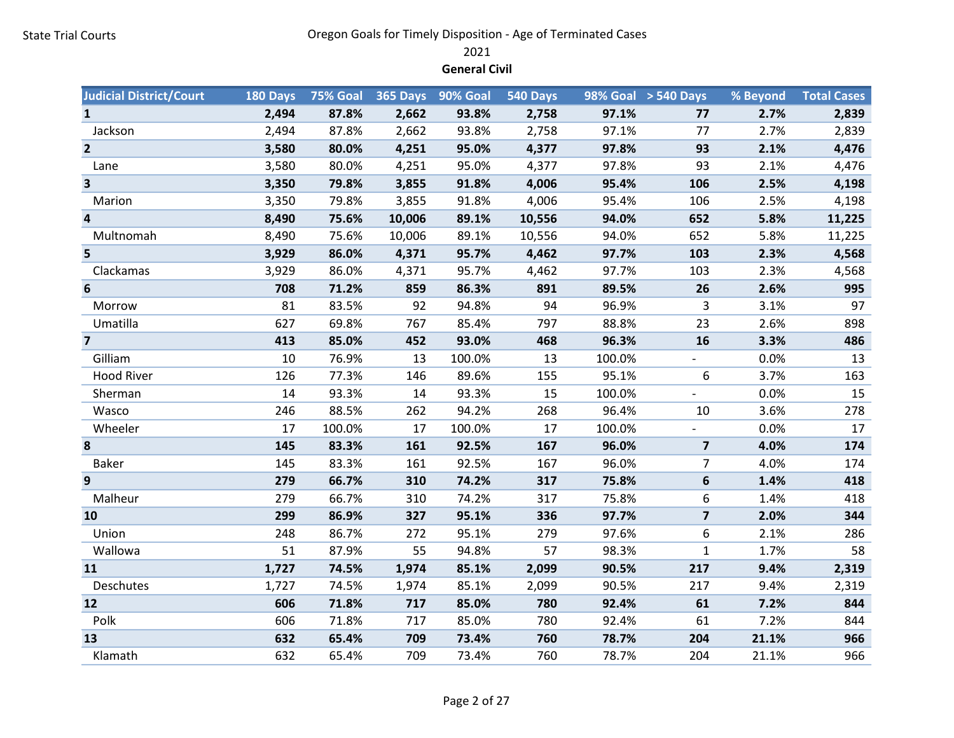2021

General Civil

| <b>Judicial District/Court</b> | 180 Days | 75% Goal |        | 365 Days 90% Goal | 540 Days |        | 98% Goal > 540 Days     | % Beyond | <b>Total Cases</b> |
|--------------------------------|----------|----------|--------|-------------------|----------|--------|-------------------------|----------|--------------------|
| $\mathbf{1}$                   | 2,494    | 87.8%    | 2,662  | 93.8%             | 2,758    | 97.1%  | 77                      | 2.7%     | 2,839              |
| Jackson                        | 2,494    | 87.8%    | 2,662  | 93.8%             | 2,758    | 97.1%  | 77                      | 2.7%     | 2,839              |
| $\overline{2}$                 | 3,580    | 80.0%    | 4,251  | 95.0%             | 4,377    | 97.8%  | 93                      | 2.1%     | 4,476              |
| Lane                           | 3,580    | 80.0%    | 4,251  | 95.0%             | 4,377    | 97.8%  | 93                      | 2.1%     | 4,476              |
| $\overline{\mathbf{3}}$        | 3,350    | 79.8%    | 3,855  | 91.8%             | 4,006    | 95.4%  | 106                     | 2.5%     | 4,198              |
| Marion                         | 3,350    | 79.8%    | 3,855  | 91.8%             | 4,006    | 95.4%  | 106                     | 2.5%     | 4,198              |
| $\overline{a}$                 | 8,490    | 75.6%    | 10,006 | 89.1%             | 10,556   | 94.0%  | 652                     | 5.8%     | 11,225             |
| Multnomah                      | 8,490    | 75.6%    | 10,006 | 89.1%             | 10,556   | 94.0%  | 652                     | 5.8%     | 11,225             |
| 5                              | 3,929    | 86.0%    | 4,371  | 95.7%             | 4,462    | 97.7%  | 103                     | 2.3%     | 4,568              |
| Clackamas                      | 3,929    | 86.0%    | 4,371  | 95.7%             | 4,462    | 97.7%  | 103                     | 2.3%     | 4,568              |
| 6                              | 708      | 71.2%    | 859    | 86.3%             | 891      | 89.5%  | 26                      | 2.6%     | 995                |
| Morrow                         | 81       | 83.5%    | 92     | 94.8%             | 94       | 96.9%  | 3                       | 3.1%     | 97                 |
| Umatilla                       | 627      | 69.8%    | 767    | 85.4%             | 797      | 88.8%  | 23                      | 2.6%     | 898                |
| $\overline{7}$                 | 413      | 85.0%    | 452    | 93.0%             | 468      | 96.3%  | 16                      | 3.3%     | 486                |
| Gilliam                        | 10       | 76.9%    | 13     | 100.0%            | 13       | 100.0% | $\sim$                  | 0.0%     | 13                 |
| <b>Hood River</b>              | 126      | 77.3%    | 146    | 89.6%             | 155      | 95.1%  | 6                       | 3.7%     | 163                |
| Sherman                        | 14       | 93.3%    | 14     | 93.3%             | 15       | 100.0% |                         | 0.0%     | 15                 |
| Wasco                          | 246      | 88.5%    | 262    | 94.2%             | 268      | 96.4%  | 10                      | 3.6%     | 278                |
| Wheeler                        | 17       | 100.0%   | 17     | 100.0%            | 17       | 100.0% |                         | 0.0%     | 17                 |
| 8                              | 145      | 83.3%    | 161    | 92.5%             | 167      | 96.0%  | $\overline{\mathbf{z}}$ | 4.0%     | 174                |
| <b>Baker</b>                   | 145      | 83.3%    | 161    | 92.5%             | 167      | 96.0%  | $\overline{7}$          | 4.0%     | 174                |
| 9                              | 279      | 66.7%    | 310    | 74.2%             | 317      | 75.8%  | 6                       | 1.4%     | 418                |
| Malheur                        | 279      | 66.7%    | 310    | 74.2%             | 317      | 75.8%  | 6                       | 1.4%     | 418                |
| 10                             | 299      | 86.9%    | 327    | 95.1%             | 336      | 97.7%  | $\overline{7}$          | 2.0%     | 344                |
| Union                          | 248      | 86.7%    | 272    | 95.1%             | 279      | 97.6%  | 6                       | 2.1%     | 286                |
| Wallowa                        | 51       | 87.9%    | 55     | 94.8%             | 57       | 98.3%  | $\mathbf{1}$            | 1.7%     | 58                 |
| 11                             | 1,727    | 74.5%    | 1,974  | 85.1%             | 2,099    | 90.5%  | 217                     | 9.4%     | 2,319              |
| Deschutes                      | 1,727    | 74.5%    | 1,974  | 85.1%             | 2,099    | 90.5%  | 217                     | 9.4%     | 2,319              |
| 12                             | 606      | 71.8%    | 717    | 85.0%             | 780      | 92.4%  | 61                      | 7.2%     | 844                |
| Polk                           | 606      | 71.8%    | 717    | 85.0%             | 780      | 92.4%  | 61                      | 7.2%     | 844                |
| 13                             | 632      | 65.4%    | 709    | 73.4%             | 760      | 78.7%  | 204                     | 21.1%    | 966                |
| Klamath                        | 632      | 65.4%    | 709    | 73.4%             | 760      | 78.7%  | 204                     | 21.1%    | 966                |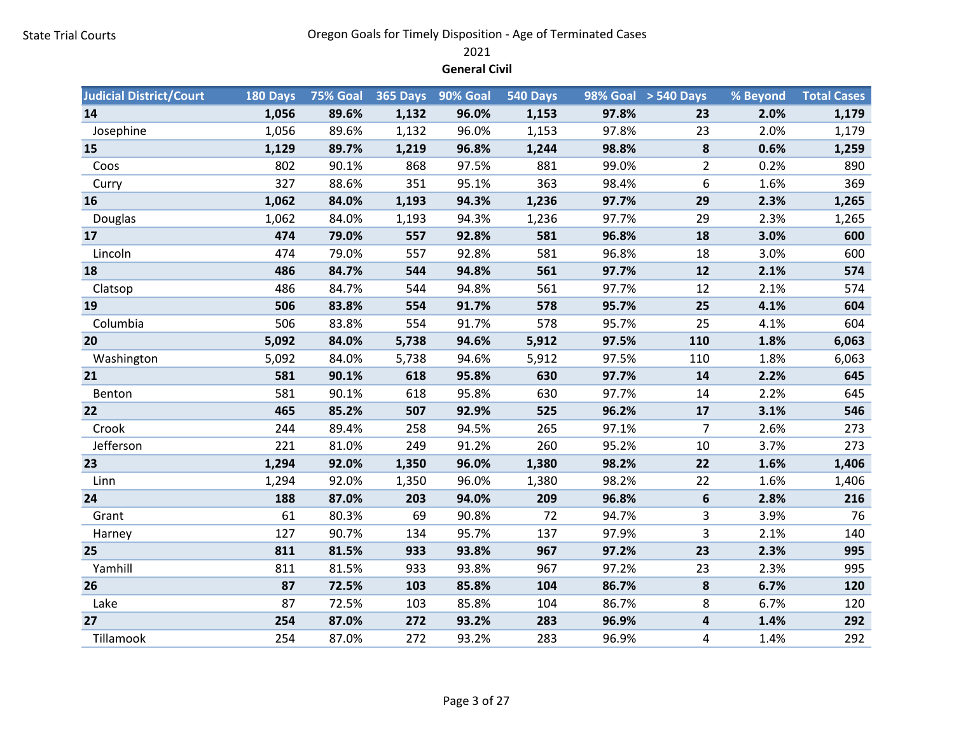2021

General Civil

| <b>Judicial District/Court</b> | 180 Days | 75% Goal | <b>365 Days</b> | 90% Goal | 540 Days |       | 98% Goal > 540 Days | % Beyond | <b>Total Cases</b> |
|--------------------------------|----------|----------|-----------------|----------|----------|-------|---------------------|----------|--------------------|
| 14                             | 1,056    | 89.6%    | 1,132           | 96.0%    | 1,153    | 97.8% | 23                  | 2.0%     | 1,179              |
| Josephine                      | 1,056    | 89.6%    | 1,132           | 96.0%    | 1,153    | 97.8% | 23                  | 2.0%     | 1,179              |
| 15                             | 1,129    | 89.7%    | 1,219           | 96.8%    | 1,244    | 98.8% | 8                   | 0.6%     | 1,259              |
| Coos                           | 802      | 90.1%    | 868             | 97.5%    | 881      | 99.0% | $\overline{2}$      | 0.2%     | 890                |
| Curry                          | 327      | 88.6%    | 351             | 95.1%    | 363      | 98.4% | 6                   | 1.6%     | 369                |
| 16                             | 1,062    | 84.0%    | 1,193           | 94.3%    | 1,236    | 97.7% | 29                  | 2.3%     | 1,265              |
| Douglas                        | 1,062    | 84.0%    | 1,193           | 94.3%    | 1,236    | 97.7% | 29                  | 2.3%     | 1,265              |
| 17                             | 474      | 79.0%    | 557             | 92.8%    | 581      | 96.8% | 18                  | 3.0%     | 600                |
| Lincoln                        | 474      | 79.0%    | 557             | 92.8%    | 581      | 96.8% | 18                  | 3.0%     | 600                |
| 18                             | 486      | 84.7%    | 544             | 94.8%    | 561      | 97.7% | 12                  | 2.1%     | 574                |
| Clatsop                        | 486      | 84.7%    | 544             | 94.8%    | 561      | 97.7% | 12                  | 2.1%     | 574                |
| 19                             | 506      | 83.8%    | 554             | 91.7%    | 578      | 95.7% | 25                  | 4.1%     | 604                |
| Columbia                       | 506      | 83.8%    | 554             | 91.7%    | 578      | 95.7% | 25                  | 4.1%     | 604                |
| 20                             | 5,092    | 84.0%    | 5,738           | 94.6%    | 5,912    | 97.5% | 110                 | 1.8%     | 6,063              |
| Washington                     | 5,092    | 84.0%    | 5,738           | 94.6%    | 5,912    | 97.5% | 110                 | 1.8%     | 6,063              |
| 21                             | 581      | 90.1%    | 618             | 95.8%    | 630      | 97.7% | 14                  | 2.2%     | 645                |
| Benton                         | 581      | 90.1%    | 618             | 95.8%    | 630      | 97.7% | 14                  | 2.2%     | 645                |
| 22                             | 465      | 85.2%    | 507             | 92.9%    | 525      | 96.2% | 17                  | 3.1%     | 546                |
| Crook                          | 244      | 89.4%    | 258             | 94.5%    | 265      | 97.1% | $\overline{7}$      | 2.6%     | 273                |
| Jefferson                      | 221      | 81.0%    | 249             | 91.2%    | 260      | 95.2% | 10                  | 3.7%     | 273                |
| 23                             | 1,294    | 92.0%    | 1,350           | 96.0%    | 1,380    | 98.2% | 22                  | 1.6%     | 1,406              |
| Linn                           | 1,294    | 92.0%    | 1,350           | 96.0%    | 1,380    | 98.2% | 22                  | 1.6%     | 1,406              |
| 24                             | 188      | 87.0%    | 203             | 94.0%    | 209      | 96.8% | $\bf 6$             | 2.8%     | 216                |
| Grant                          | 61       | 80.3%    | 69              | 90.8%    | 72       | 94.7% | 3                   | 3.9%     | 76                 |
| Harney                         | 127      | 90.7%    | 134             | 95.7%    | 137      | 97.9% | 3                   | 2.1%     | 140                |
| 25                             | 811      | 81.5%    | 933             | 93.8%    | 967      | 97.2% | 23                  | 2.3%     | 995                |
| Yamhill                        | 811      | 81.5%    | 933             | 93.8%    | 967      | 97.2% | 23                  | 2.3%     | 995                |
| 26                             | 87       | 72.5%    | 103             | 85.8%    | 104      | 86.7% | 8                   | 6.7%     | 120                |
| Lake                           | 87       | 72.5%    | 103             | 85.8%    | 104      | 86.7% | 8                   | 6.7%     | 120                |
| 27                             | 254      | 87.0%    | 272             | 93.2%    | 283      | 96.9% | 4                   | 1.4%     | 292                |
| Tillamook                      | 254      | 87.0%    | 272             | 93.2%    | 283      | 96.9% | 4                   | 1.4%     | 292                |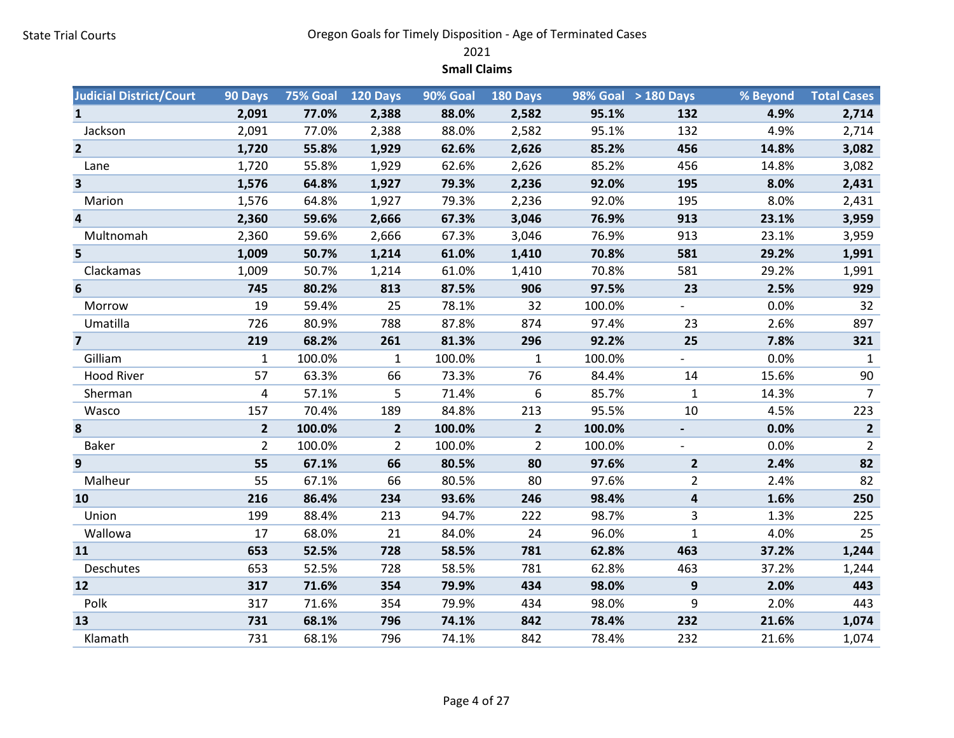2021

Small Claims

| <b>Judicial District/Court</b> | 90 Days        | 75% Goal | 120 Days       | 90% Goal | 180 Days       |        | 98% Goal > 180 Days | % Beyond | <b>Total Cases</b> |
|--------------------------------|----------------|----------|----------------|----------|----------------|--------|---------------------|----------|--------------------|
| $\mathbf{1}$                   | 2,091          | 77.0%    | 2,388          | 88.0%    | 2,582          | 95.1%  | 132                 | 4.9%     | 2,714              |
| Jackson                        | 2,091          | 77.0%    | 2,388          | 88.0%    | 2,582          | 95.1%  | 132                 | 4.9%     | 2,714              |
| $\overline{2}$                 | 1,720          | 55.8%    | 1,929          | 62.6%    | 2,626          | 85.2%  | 456                 | 14.8%    | 3,082              |
| Lane                           | 1,720          | 55.8%    | 1,929          | 62.6%    | 2,626          | 85.2%  | 456                 | 14.8%    | 3,082              |
| 3                              | 1,576          | 64.8%    | 1,927          | 79.3%    | 2,236          | 92.0%  | 195                 | 8.0%     | 2,431              |
| Marion                         | 1,576          | 64.8%    | 1,927          | 79.3%    | 2,236          | 92.0%  | 195                 | 8.0%     | 2,431              |
| $\overline{\mathbf{4}}$        | 2,360          | 59.6%    | 2,666          | 67.3%    | 3,046          | 76.9%  | 913                 | 23.1%    | 3,959              |
| Multnomah                      | 2,360          | 59.6%    | 2,666          | 67.3%    | 3,046          | 76.9%  | 913                 | 23.1%    | 3,959              |
| 5                              | 1,009          | 50.7%    | 1,214          | 61.0%    | 1,410          | 70.8%  | 581                 | 29.2%    | 1,991              |
| Clackamas                      | 1,009          | 50.7%    | 1,214          | 61.0%    | 1,410          | 70.8%  | 581                 | 29.2%    | 1,991              |
| 6                              | 745            | 80.2%    | 813            | 87.5%    | 906            | 97.5%  | 23                  | 2.5%     | 929                |
| Morrow                         | 19             | 59.4%    | 25             | 78.1%    | 32             | 100.0% | $\mathcal{L}^{\pm}$ | 0.0%     | 32                 |
| Umatilla                       | 726            | 80.9%    | 788            | 87.8%    | 874            | 97.4%  | 23                  | 2.6%     | 897                |
| $\overline{\mathbf{z}}$        | 219            | 68.2%    | 261            | 81.3%    | 296            | 92.2%  | 25                  | 7.8%     | 321                |
| Gilliam                        | $\mathbf{1}$   | 100.0%   | $\mathbf{1}$   | 100.0%   | $\mathbf{1}$   | 100.0% | $\overline{a}$      | 0.0%     | $\mathbf{1}$       |
| <b>Hood River</b>              | 57             | 63.3%    | 66             | 73.3%    | 76             | 84.4%  | 14                  | 15.6%    | 90                 |
| Sherman                        | 4              | 57.1%    | 5              | 71.4%    | 6              | 85.7%  | 1                   | 14.3%    | $\overline{7}$     |
| Wasco                          | 157            | 70.4%    | 189            | 84.8%    | 213            | 95.5%  | 10                  | 4.5%     | 223                |
| 8                              | $\overline{2}$ | 100.0%   | $\overline{2}$ | 100.0%   | $\overline{2}$ | 100.0% |                     | 0.0%     | $\overline{2}$     |
| <b>Baker</b>                   | $\overline{2}$ | 100.0%   | $\overline{2}$ | 100.0%   | 2              | 100.0% |                     | 0.0%     | $\overline{2}$     |
| 9                              | 55             | 67.1%    | 66             | 80.5%    | 80             | 97.6%  | $\overline{2}$      | 2.4%     | 82                 |
| Malheur                        | 55             | 67.1%    | 66             | 80.5%    | 80             | 97.6%  | $\overline{2}$      | 2.4%     | 82                 |
| 10                             | 216            | 86.4%    | 234            | 93.6%    | 246            | 98.4%  | 4                   | 1.6%     | 250                |
| Union                          | 199            | 88.4%    | 213            | 94.7%    | 222            | 98.7%  | 3                   | 1.3%     | 225                |
| Wallowa                        | 17             | 68.0%    | 21             | 84.0%    | 24             | 96.0%  | $\mathbf{1}$        | 4.0%     | 25                 |
| 11                             | 653            | 52.5%    | 728            | 58.5%    | 781            | 62.8%  | 463                 | 37.2%    | 1,244              |
| Deschutes                      | 653            | 52.5%    | 728            | 58.5%    | 781            | 62.8%  | 463                 | 37.2%    | 1,244              |
| 12                             | 317            | 71.6%    | 354            | 79.9%    | 434            | 98.0%  | $\boldsymbol{9}$    | 2.0%     | 443                |
| Polk                           | 317            | 71.6%    | 354            | 79.9%    | 434            | 98.0%  | 9                   | 2.0%     | 443                |
| 13                             | 731            | 68.1%    | 796            | 74.1%    | 842            | 78.4%  | 232                 | 21.6%    | 1,074              |
| Klamath                        | 731            | 68.1%    | 796            | 74.1%    | 842            | 78.4%  | 232                 | 21.6%    | 1,074              |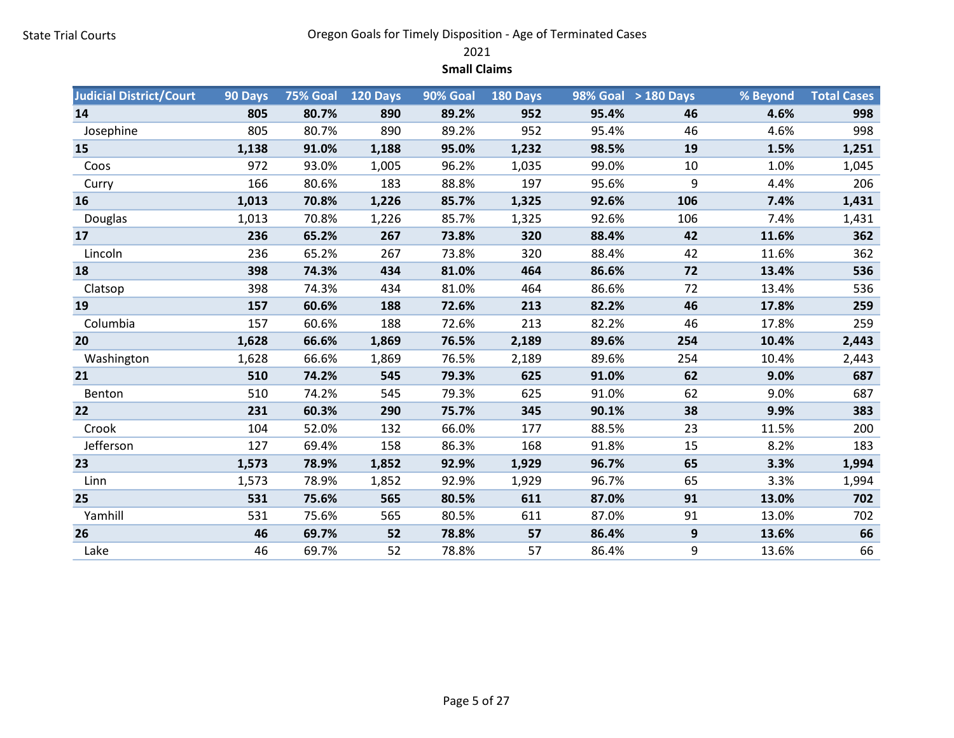2021

Small Claims

| <b>Judicial District/Court</b> | 90 Days | 75% Goal | 120 Days | 90% Goal | $180$ Days |       | 98% Goal > 180 Days | % Beyond | <b>Total Cases</b> |
|--------------------------------|---------|----------|----------|----------|------------|-------|---------------------|----------|--------------------|
| 14                             | 805     | 80.7%    | 890      | 89.2%    | 952        | 95.4% | 46                  | 4.6%     | 998                |
| Josephine                      | 805     | 80.7%    | 890      | 89.2%    | 952        | 95.4% | 46                  | 4.6%     | 998                |
| 15                             | 1,138   | 91.0%    | 1,188    | 95.0%    | 1,232      | 98.5% | 19                  | 1.5%     | 1,251              |
| Coos                           | 972     | 93.0%    | 1,005    | 96.2%    | 1,035      | 99.0% | 10                  | 1.0%     | 1,045              |
| Curry                          | 166     | 80.6%    | 183      | 88.8%    | 197        | 95.6% | 9                   | 4.4%     | 206                |
| 16                             | 1,013   | 70.8%    | 1,226    | 85.7%    | 1,325      | 92.6% | 106                 | 7.4%     | 1,431              |
| Douglas                        | 1,013   | 70.8%    | 1,226    | 85.7%    | 1,325      | 92.6% | 106                 | 7.4%     | 1,431              |
| 17                             | 236     | 65.2%    | 267      | 73.8%    | 320        | 88.4% | 42                  | 11.6%    | 362                |
| Lincoln                        | 236     | 65.2%    | 267      | 73.8%    | 320        | 88.4% | 42                  | 11.6%    | 362                |
| 18                             | 398     | 74.3%    | 434      | 81.0%    | 464        | 86.6% | 72                  | 13.4%    | 536                |
| Clatsop                        | 398     | 74.3%    | 434      | 81.0%    | 464        | 86.6% | 72                  | 13.4%    | 536                |
| 19                             | 157     | 60.6%    | 188      | 72.6%    | 213        | 82.2% | 46                  | 17.8%    | 259                |
| Columbia                       | 157     | 60.6%    | 188      | 72.6%    | 213        | 82.2% | 46                  | 17.8%    | 259                |
| 20                             | 1,628   | 66.6%    | 1,869    | 76.5%    | 2,189      | 89.6% | 254                 | 10.4%    | 2,443              |
| Washington                     | 1,628   | 66.6%    | 1,869    | 76.5%    | 2,189      | 89.6% | 254                 | 10.4%    | 2,443              |
| 21                             | 510     | 74.2%    | 545      | 79.3%    | 625        | 91.0% | 62                  | 9.0%     | 687                |
| Benton                         | 510     | 74.2%    | 545      | 79.3%    | 625        | 91.0% | 62                  | 9.0%     | 687                |
| 22                             | 231     | 60.3%    | 290      | 75.7%    | 345        | 90.1% | 38                  | 9.9%     | 383                |
| Crook                          | 104     | 52.0%    | 132      | 66.0%    | 177        | 88.5% | 23                  | 11.5%    | 200                |
| Jefferson                      | 127     | 69.4%    | 158      | 86.3%    | 168        | 91.8% | 15                  | 8.2%     | 183                |
| 23                             | 1,573   | 78.9%    | 1,852    | 92.9%    | 1,929      | 96.7% | 65                  | 3.3%     | 1,994              |
| Linn                           | 1,573   | 78.9%    | 1,852    | 92.9%    | 1,929      | 96.7% | 65                  | 3.3%     | 1,994              |
| 25                             | 531     | 75.6%    | 565      | 80.5%    | 611        | 87.0% | 91                  | 13.0%    | 702                |
| Yamhill                        | 531     | 75.6%    | 565      | 80.5%    | 611        | 87.0% | 91                  | 13.0%    | 702                |
| 26                             | 46      | 69.7%    | 52       | 78.8%    | 57         | 86.4% | 9                   | 13.6%    | 66                 |
| Lake                           | 46      | 69.7%    | 52       | 78.8%    | 57         | 86.4% | 9                   | 13.6%    | 66                 |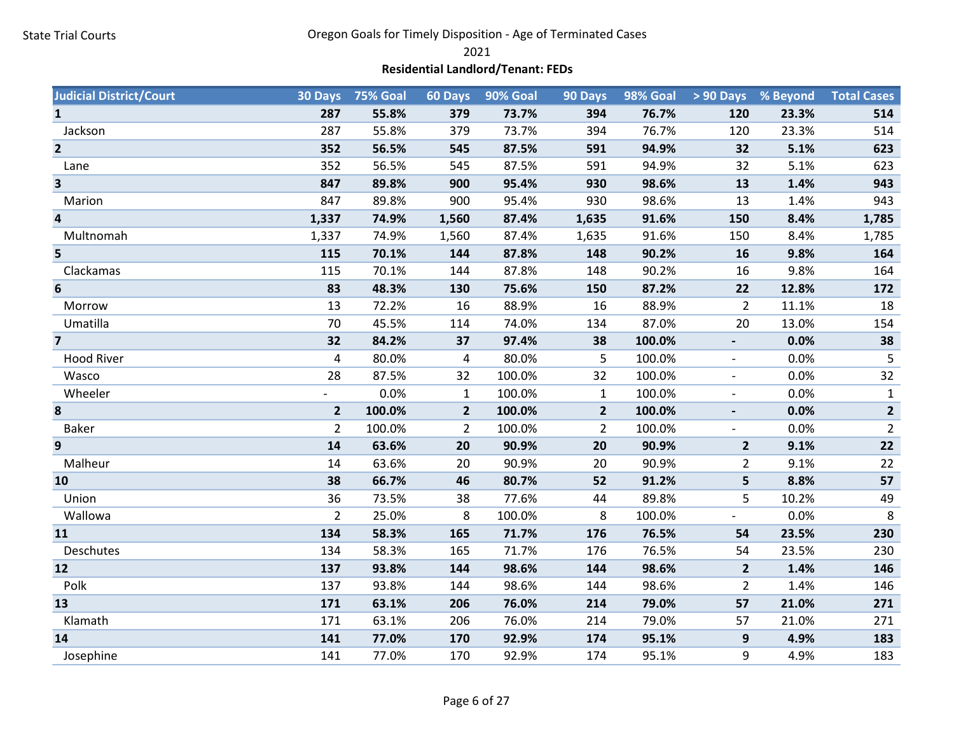2021

# Residential Landlord/Tenant: FEDs

| <b>Judicial District/Court</b> |                          | 30 Days 75% Goal | 60 Days        | 90% Goal | 90 Days        | 98% Goal |                          | > 90 Days % Beyond | <b>Total Cases</b> |
|--------------------------------|--------------------------|------------------|----------------|----------|----------------|----------|--------------------------|--------------------|--------------------|
| $\mathbf{1}$                   | 287                      | 55.8%            | 379            | 73.7%    | 394            | 76.7%    | 120                      | 23.3%              | 514                |
| Jackson                        | 287                      | 55.8%            | 379            | 73.7%    | 394            | 76.7%    | 120                      | 23.3%              | 514                |
| $\overline{2}$                 | 352                      | 56.5%            | 545            | 87.5%    | 591            | 94.9%    | 32                       | 5.1%               | 623                |
| Lane                           | 352                      | 56.5%            | 545            | 87.5%    | 591            | 94.9%    | 32                       | 5.1%               | 623                |
| $\overline{\mathbf{3}}$        | 847                      | 89.8%            | 900            | 95.4%    | 930            | 98.6%    | 13                       | 1.4%               | 943                |
| Marion                         | 847                      | 89.8%            | 900            | 95.4%    | 930            | 98.6%    | 13                       | 1.4%               | 943                |
| $\overline{\mathbf{4}}$        | 1,337                    | 74.9%            | 1,560          | 87.4%    | 1,635          | 91.6%    | 150                      | 8.4%               | 1,785              |
| Multnomah                      | 1,337                    | 74.9%            | 1,560          | 87.4%    | 1,635          | 91.6%    | 150                      | 8.4%               | 1,785              |
| 5                              | 115                      | 70.1%            | 144            | 87.8%    | 148            | 90.2%    | 16                       | 9.8%               | 164                |
| Clackamas                      | 115                      | 70.1%            | 144            | 87.8%    | 148            | 90.2%    | 16                       | 9.8%               | 164                |
| 6                              | 83                       | 48.3%            | 130            | 75.6%    | 150            | 87.2%    | 22                       | 12.8%              | 172                |
| Morrow                         | 13                       | 72.2%            | 16             | 88.9%    | 16             | 88.9%    | $\overline{2}$           | 11.1%              | 18                 |
| Umatilla                       | 70                       | 45.5%            | 114            | 74.0%    | 134            | 87.0%    | 20                       | 13.0%              | 154                |
| $\overline{7}$                 | 32                       | 84.2%            | 37             | 97.4%    | 38             | 100.0%   |                          | 0.0%               | 38                 |
| <b>Hood River</b>              | 4                        | 80.0%            | 4              | 80.0%    | 5              | 100.0%   | $\overline{\phantom{a}}$ | 0.0%               | $\sqrt{5}$         |
| Wasco                          | 28                       | 87.5%            | 32             | 100.0%   | 32             | 100.0%   | $\overline{\phantom{a}}$ | 0.0%               | 32                 |
| Wheeler                        | $\overline{\phantom{a}}$ | 0.0%             | $\mathbf{1}$   | 100.0%   | $\mathbf{1}$   | 100.0%   | $\overline{\phantom{a}}$ | 0.0%               | $\mathbf{1}$       |
| 8                              | $\overline{2}$           | 100.0%           | $\overline{2}$ | 100.0%   | $\overline{2}$ | 100.0%   |                          | 0.0%               | $\overline{2}$     |
| <b>Baker</b>                   | $\overline{2}$           | 100.0%           | $\overline{2}$ | 100.0%   | $\overline{2}$ | 100.0%   | $\sim$                   | 0.0%               | $\overline{2}$     |
| 9                              | 14                       | 63.6%            | 20             | 90.9%    | 20             | 90.9%    | $\overline{2}$           | 9.1%               | 22                 |
| Malheur                        | 14                       | 63.6%            | 20             | 90.9%    | 20             | 90.9%    | $\overline{2}$           | 9.1%               | 22                 |
| 10                             | 38                       | 66.7%            | 46             | 80.7%    | 52             | 91.2%    | 5                        | 8.8%               | 57                 |
| Union                          | 36                       | 73.5%            | 38             | 77.6%    | 44             | 89.8%    | 5                        | 10.2%              | 49                 |
| Wallowa                        | $\overline{2}$           | 25.0%            | 8              | 100.0%   | 8              | 100.0%   | $\overline{\phantom{0}}$ | 0.0%               | $8\phantom{1}$     |
| 11                             | 134                      | 58.3%            | 165            | 71.7%    | 176            | 76.5%    | 54                       | 23.5%              | 230                |
| Deschutes                      | 134                      | 58.3%            | 165            | 71.7%    | 176            | 76.5%    | 54                       | 23.5%              | 230                |
| 12                             | 137                      | 93.8%            | 144            | 98.6%    | 144            | 98.6%    | $2^{\circ}$              | 1.4%               | 146                |
| Polk                           | 137                      | 93.8%            | 144            | 98.6%    | 144            | 98.6%    | $\overline{2}$           | 1.4%               | 146                |
| 13                             | 171                      | 63.1%            | 206            | 76.0%    | 214            | 79.0%    | 57                       | 21.0%              | 271                |
| Klamath                        | 171                      | 63.1%            | 206            | 76.0%    | 214            | 79.0%    | 57                       | 21.0%              | 271                |
| 14                             | 141                      | 77.0%            | 170            | 92.9%    | 174            | 95.1%    | 9                        | 4.9%               | 183                |
| Josephine                      | 141                      | 77.0%            | 170            | 92.9%    | 174            | 95.1%    | 9                        | 4.9%               | 183                |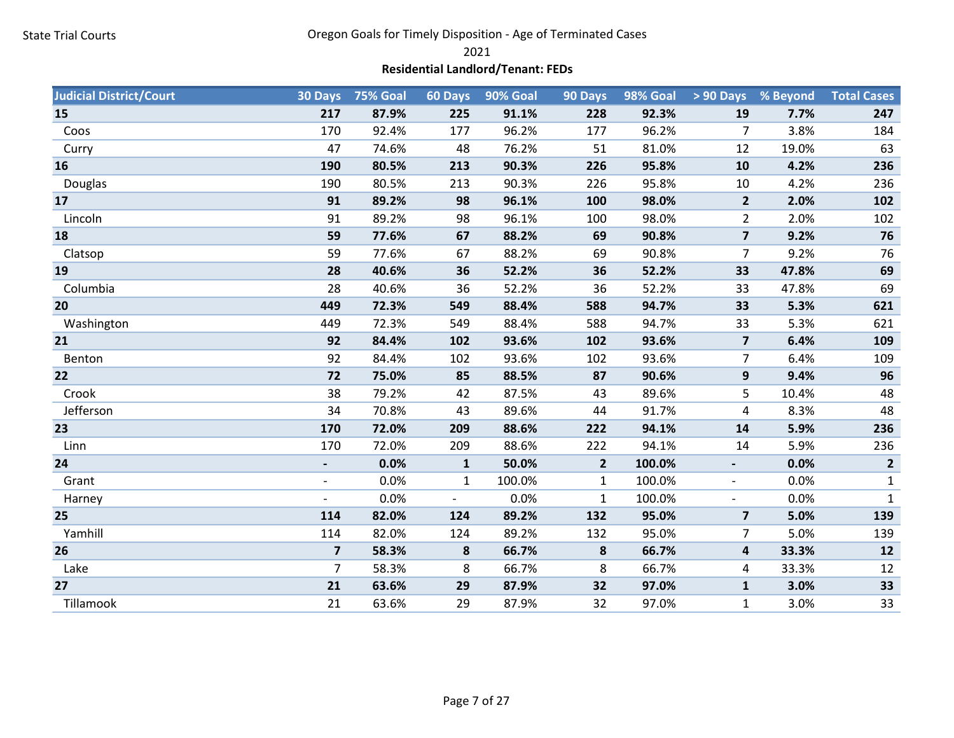2021

# Residential Landlord/Tenant: FEDs

| <b>Judicial District/Court</b> | 30 Days                  | <b>75% Goal</b> | 60 Days                  | 90% Goal | 90 Days        | 98% Goal |                          | > 90 Days % Beyond | <b>Total Cases</b> |
|--------------------------------|--------------------------|-----------------|--------------------------|----------|----------------|----------|--------------------------|--------------------|--------------------|
| 15                             | 217                      | 87.9%           | 225                      | 91.1%    | 228            | 92.3%    | 19                       | 7.7%               | 247                |
| Coos                           | 170                      | 92.4%           | 177                      | 96.2%    | 177            | 96.2%    | 7                        | 3.8%               | 184                |
| Curry                          | 47                       | 74.6%           | 48                       | 76.2%    | 51             | 81.0%    | 12                       | 19.0%              | 63                 |
| 16                             | 190                      | 80.5%           | 213                      | 90.3%    | 226            | 95.8%    | 10                       | 4.2%               | 236                |
| Douglas                        | 190                      | 80.5%           | 213                      | 90.3%    | 226            | 95.8%    | 10                       | 4.2%               | 236                |
| 17                             | 91                       | 89.2%           | 98                       | 96.1%    | 100            | 98.0%    | $\overline{2}$           | 2.0%               | 102                |
| Lincoln                        | 91                       | 89.2%           | 98                       | 96.1%    | 100            | 98.0%    | $\overline{2}$           | 2.0%               | 102                |
| 18                             | 59                       | 77.6%           | 67                       | 88.2%    | 69             | 90.8%    | $\overline{7}$           | 9.2%               | 76                 |
| Clatsop                        | 59                       | 77.6%           | 67                       | 88.2%    | 69             | 90.8%    | 7                        | 9.2%               | 76                 |
| 19                             | 28                       | 40.6%           | 36                       | 52.2%    | 36             | 52.2%    | 33                       | 47.8%              | 69                 |
| Columbia                       | 28                       | 40.6%           | 36                       | 52.2%    | 36             | 52.2%    | 33                       | 47.8%              | 69                 |
| 20                             | 449                      | 72.3%           | 549                      | 88.4%    | 588            | 94.7%    | 33                       | 5.3%               | 621                |
| Washington                     | 449                      | 72.3%           | 549                      | 88.4%    | 588            | 94.7%    | 33                       | 5.3%               | 621                |
| 21                             | 92                       | 84.4%           | 102                      | 93.6%    | 102            | 93.6%    | $\overline{\mathbf{z}}$  | 6.4%               | 109                |
| Benton                         | 92                       | 84.4%           | 102                      | 93.6%    | 102            | 93.6%    | $\overline{7}$           | 6.4%               | 109                |
| 22                             | 72                       | 75.0%           | 85                       | 88.5%    | 87             | 90.6%    | 9                        | 9.4%               | 96                 |
| Crook                          | 38                       | 79.2%           | 42                       | 87.5%    | 43             | 89.6%    | 5                        | 10.4%              | 48                 |
| Jefferson                      | 34                       | 70.8%           | 43                       | 89.6%    | 44             | 91.7%    | 4                        | 8.3%               | 48                 |
| 23                             | 170                      | 72.0%           | 209                      | 88.6%    | 222            | 94.1%    | 14                       | 5.9%               | 236                |
| Linn                           | 170                      | 72.0%           | 209                      | 88.6%    | 222            | 94.1%    | 14                       | 5.9%               | 236                |
| 24                             | $\overline{\phantom{a}}$ | 0.0%            | $\mathbf{1}$             | 50.0%    | $\overline{2}$ | 100.0%   | $\blacksquare$           | 0.0%               | $\overline{2}$     |
| Grant                          | $\overline{\phantom{a}}$ | 0.0%            | $\mathbf{1}$             | 100.0%   | $\mathbf{1}$   | 100.0%   | $\blacksquare$           | 0.0%               | $\mathbf{1}$       |
| Harney                         | $\overline{\phantom{0}}$ | 0.0%            | $\overline{\phantom{a}}$ | 0.0%     | $\mathbf{1}$   | 100.0%   | $\overline{\phantom{a}}$ | 0.0%               | $\mathbf{1}$       |
| 25                             | 114                      | 82.0%           | 124                      | 89.2%    | 132            | 95.0%    | $\overline{7}$           | 5.0%               | 139                |
| Yamhill                        | 114                      | 82.0%           | 124                      | 89.2%    | 132            | 95.0%    | $\overline{7}$           | 5.0%               | 139                |
| 26                             | $\overline{\mathbf{z}}$  | 58.3%           | 8                        | 66.7%    | 8              | 66.7%    | 4                        | 33.3%              | 12                 |
| Lake                           | $\overline{7}$           | 58.3%           | 8                        | 66.7%    | 8              | 66.7%    | 4                        | 33.3%              | 12                 |
| 27                             | 21                       | 63.6%           | 29                       | 87.9%    | 32             | 97.0%    | $\mathbf{1}$             | 3.0%               | 33                 |
| Tillamook                      | 21                       | 63.6%           | 29                       | 87.9%    | 32             | 97.0%    | $\mathbf{1}$             | 3.0%               | 33                 |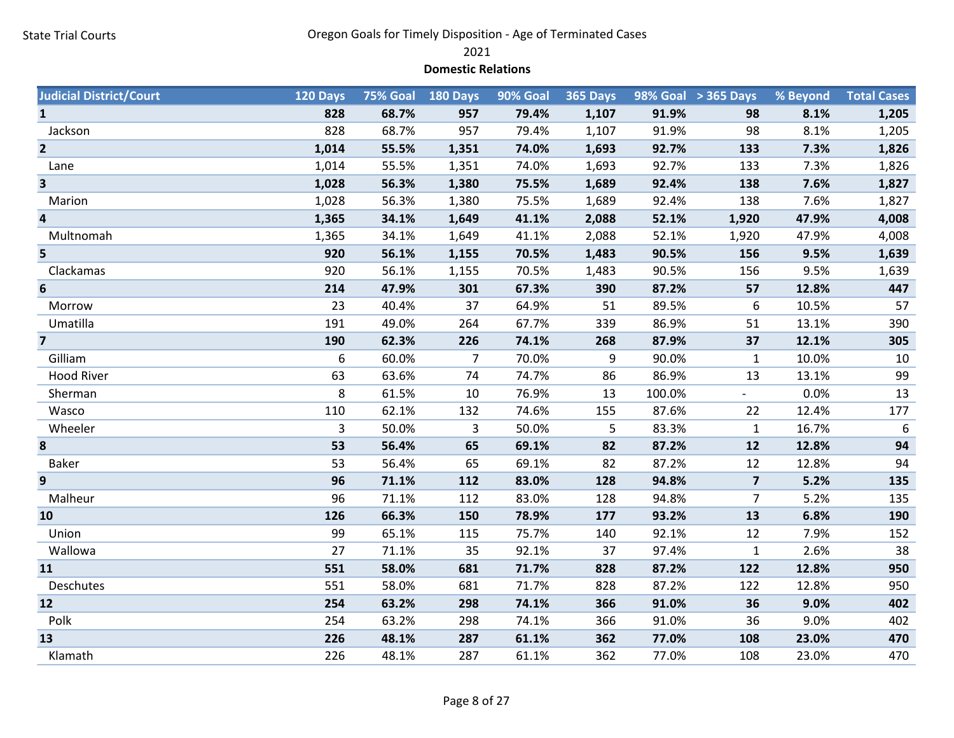2021

#### Domestic Relations

| <b>Judicial District/Court</b> | 120 Days |       | 75% Goal 180 Days | <b>90% Goal</b> | 365 Days |        | $98\%$ Goal $\rightarrow$ 365 Days | % Beyond | <b>Total Cases</b> |
|--------------------------------|----------|-------|-------------------|-----------------|----------|--------|------------------------------------|----------|--------------------|
| $\mathbf{1}$                   | 828      | 68.7% | 957               | 79.4%           | 1,107    | 91.9%  | 98                                 | 8.1%     | 1,205              |
| Jackson                        | 828      | 68.7% | 957               | 79.4%           | 1,107    | 91.9%  | 98                                 | 8.1%     | 1,205              |
| $\overline{2}$                 | 1,014    | 55.5% | 1,351             | 74.0%           | 1,693    | 92.7%  | 133                                | 7.3%     | 1,826              |
| Lane                           | 1,014    | 55.5% | 1,351             | 74.0%           | 1,693    | 92.7%  | 133                                | 7.3%     | 1,826              |
| 3                              | 1,028    | 56.3% | 1,380             | 75.5%           | 1,689    | 92.4%  | 138                                | 7.6%     | 1,827              |
| Marion                         | 1,028    | 56.3% | 1,380             | 75.5%           | 1,689    | 92.4%  | 138                                | 7.6%     | 1,827              |
| 4                              | 1,365    | 34.1% | 1,649             | 41.1%           | 2,088    | 52.1%  | 1,920                              | 47.9%    | 4,008              |
| Multnomah                      | 1,365    | 34.1% | 1,649             | 41.1%           | 2,088    | 52.1%  | 1,920                              | 47.9%    | 4,008              |
| 5                              | 920      | 56.1% | 1,155             | 70.5%           | 1,483    | 90.5%  | 156                                | 9.5%     | 1,639              |
| Clackamas                      | 920      | 56.1% | 1,155             | 70.5%           | 1,483    | 90.5%  | 156                                | 9.5%     | 1,639              |
| 6                              | 214      | 47.9% | 301               | 67.3%           | 390      | 87.2%  | 57                                 | 12.8%    | 447                |
| Morrow                         | 23       | 40.4% | 37                | 64.9%           | 51       | 89.5%  | 6                                  | 10.5%    | 57                 |
| Umatilla                       | 191      | 49.0% | 264               | 67.7%           | 339      | 86.9%  | 51                                 | 13.1%    | 390                |
| $\overline{7}$                 | 190      | 62.3% | 226               | 74.1%           | 268      | 87.9%  | 37                                 | 12.1%    | 305                |
| Gilliam                        | 6        | 60.0% | 7                 | 70.0%           | 9        | 90.0%  | $\mathbf{1}$                       | 10.0%    | 10                 |
| <b>Hood River</b>              | 63       | 63.6% | 74                | 74.7%           | 86       | 86.9%  | 13                                 | 13.1%    | 99                 |
| Sherman                        | 8        | 61.5% | 10                | 76.9%           | 13       | 100.0% |                                    | 0.0%     | 13                 |
| Wasco                          | 110      | 62.1% | 132               | 74.6%           | 155      | 87.6%  | 22                                 | 12.4%    | 177                |
| Wheeler                        | 3        | 50.0% | 3                 | 50.0%           | 5        | 83.3%  | $\mathbf{1}$                       | 16.7%    | 6                  |
| 8                              | 53       | 56.4% | 65                | 69.1%           | 82       | 87.2%  | 12                                 | 12.8%    | 94                 |
| <b>Baker</b>                   | 53       | 56.4% | 65                | 69.1%           | 82       | 87.2%  | 12                                 | 12.8%    | 94                 |
| 9                              | 96       | 71.1% | 112               | 83.0%           | 128      | 94.8%  | $\overline{\mathbf{z}}$            | 5.2%     | 135                |
| Malheur                        | 96       | 71.1% | 112               | 83.0%           | 128      | 94.8%  | $\overline{7}$                     | 5.2%     | 135                |
| 10                             | 126      | 66.3% | 150               | 78.9%           | 177      | 93.2%  | 13                                 | 6.8%     | 190                |
| Union                          | 99       | 65.1% | 115               | 75.7%           | 140      | 92.1%  | 12                                 | 7.9%     | 152                |
| Wallowa                        | 27       | 71.1% | 35                | 92.1%           | 37       | 97.4%  | $\mathbf{1}$                       | 2.6%     | 38                 |
| 11                             | 551      | 58.0% | 681               | 71.7%           | 828      | 87.2%  | 122                                | 12.8%    | 950                |
| Deschutes                      | 551      | 58.0% | 681               | 71.7%           | 828      | 87.2%  | 122                                | 12.8%    | 950                |
| 12                             | 254      | 63.2% | 298               | 74.1%           | 366      | 91.0%  | 36                                 | 9.0%     | 402                |
| Polk                           | 254      | 63.2% | 298               | 74.1%           | 366      | 91.0%  | 36                                 | 9.0%     | 402                |
| 13                             | 226      | 48.1% | 287               | 61.1%           | 362      | 77.0%  | 108                                | 23.0%    | 470                |
| Klamath                        | 226      | 48.1% | 287               | 61.1%           | 362      | 77.0%  | 108                                | 23.0%    | 470                |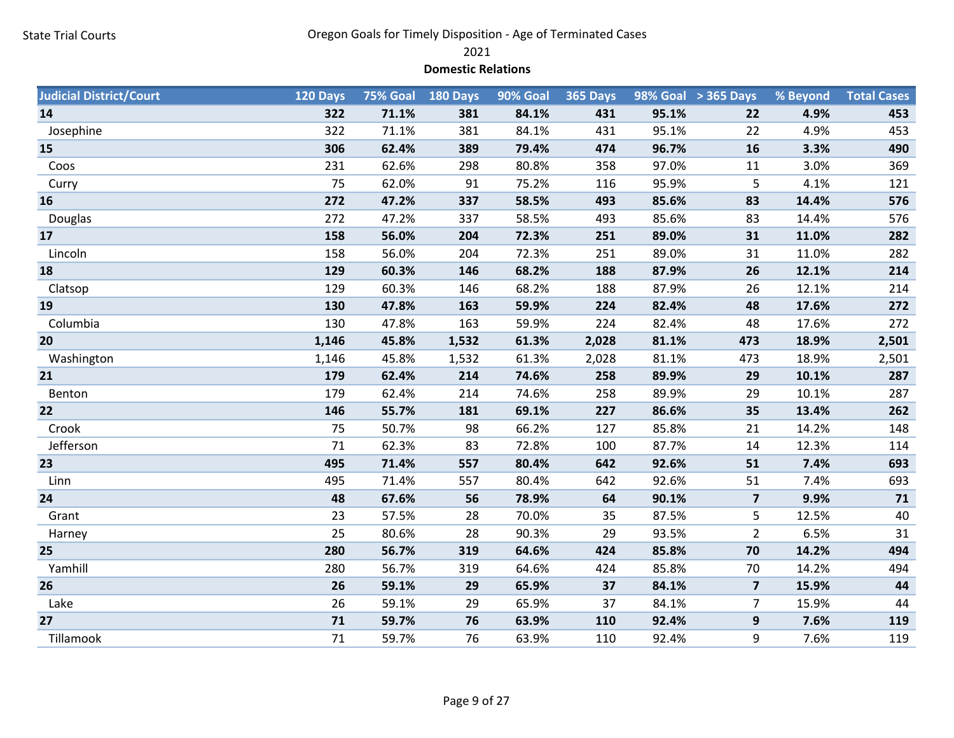2021

#### Domestic Relations

| <b>Judicial District/Court</b> | 120 Days | 75% Goal | 180 Days | 90% Goal | <b>365 Days</b> |       | 98% Goal > 365 Days     | % Beyond | <b>Total Cases</b> |
|--------------------------------|----------|----------|----------|----------|-----------------|-------|-------------------------|----------|--------------------|
| 14                             | 322      | 71.1%    | 381      | 84.1%    | 431             | 95.1% | 22                      | 4.9%     | 453                |
| Josephine                      | 322      | 71.1%    | 381      | 84.1%    | 431             | 95.1% | 22                      | 4.9%     | 453                |
| 15                             | 306      | 62.4%    | 389      | 79.4%    | 474             | 96.7% | 16                      | 3.3%     | 490                |
| Coos                           | 231      | 62.6%    | 298      | 80.8%    | 358             | 97.0% | 11                      | 3.0%     | 369                |
| Curry                          | 75       | 62.0%    | 91       | 75.2%    | 116             | 95.9% | 5                       | 4.1%     | 121                |
| 16                             | 272      | 47.2%    | 337      | 58.5%    | 493             | 85.6% | 83                      | 14.4%    | 576                |
| Douglas                        | 272      | 47.2%    | 337      | 58.5%    | 493             | 85.6% | 83                      | 14.4%    | 576                |
| 17                             | 158      | 56.0%    | 204      | 72.3%    | 251             | 89.0% | 31                      | 11.0%    | 282                |
| Lincoln                        | 158      | 56.0%    | 204      | 72.3%    | 251             | 89.0% | 31                      | 11.0%    | 282                |
| 18                             | 129      | 60.3%    | 146      | 68.2%    | 188             | 87.9% | 26                      | 12.1%    | 214                |
| Clatsop                        | 129      | 60.3%    | 146      | 68.2%    | 188             | 87.9% | 26                      | 12.1%    | 214                |
| 19                             | 130      | 47.8%    | 163      | 59.9%    | 224             | 82.4% | 48                      | 17.6%    | 272                |
| Columbia                       | 130      | 47.8%    | 163      | 59.9%    | 224             | 82.4% | 48                      | 17.6%    | 272                |
| 20                             | 1,146    | 45.8%    | 1,532    | 61.3%    | 2,028           | 81.1% | 473                     | 18.9%    | 2,501              |
| Washington                     | 1,146    | 45.8%    | 1,532    | 61.3%    | 2,028           | 81.1% | 473                     | 18.9%    | 2,501              |
| 21                             | 179      | 62.4%    | 214      | 74.6%    | 258             | 89.9% | 29                      | 10.1%    | 287                |
| Benton                         | 179      | 62.4%    | 214      | 74.6%    | 258             | 89.9% | 29                      | 10.1%    | 287                |
| 22                             | 146      | 55.7%    | 181      | 69.1%    | 227             | 86.6% | 35                      | 13.4%    | 262                |
| Crook                          | 75       | 50.7%    | 98       | 66.2%    | 127             | 85.8% | 21                      | 14.2%    | 148                |
| Jefferson                      | 71       | 62.3%    | 83       | 72.8%    | 100             | 87.7% | 14                      | 12.3%    | 114                |
| 23                             | 495      | 71.4%    | 557      | 80.4%    | 642             | 92.6% | 51                      | 7.4%     | 693                |
| Linn                           | 495      | 71.4%    | 557      | 80.4%    | 642             | 92.6% | 51                      | 7.4%     | 693                |
| 24                             | 48       | 67.6%    | 56       | 78.9%    | 64              | 90.1% | $\overline{\mathbf{z}}$ | 9.9%     | 71                 |
| Grant                          | 23       | 57.5%    | 28       | 70.0%    | 35              | 87.5% | 5                       | 12.5%    | 40                 |
| Harney                         | 25       | 80.6%    | 28       | 90.3%    | 29              | 93.5% | $\overline{2}$          | 6.5%     | 31                 |
| 25                             | 280      | 56.7%    | 319      | 64.6%    | 424             | 85.8% | 70                      | 14.2%    | 494                |
| Yamhill                        | 280      | 56.7%    | 319      | 64.6%    | 424             | 85.8% | 70                      | 14.2%    | 494                |
| 26                             | 26       | 59.1%    | 29       | 65.9%    | 37              | 84.1% | $\overline{\mathbf{z}}$ | 15.9%    | 44                 |
| Lake                           | 26       | 59.1%    | 29       | 65.9%    | 37              | 84.1% | $\overline{7}$          | 15.9%    | 44                 |
| 27                             | 71       | 59.7%    | 76       | 63.9%    | 110             | 92.4% | 9                       | 7.6%     | 119                |
| Tillamook                      | 71       | 59.7%    | 76       | 63.9%    | 110             | 92.4% | 9                       | 7.6%     | 119                |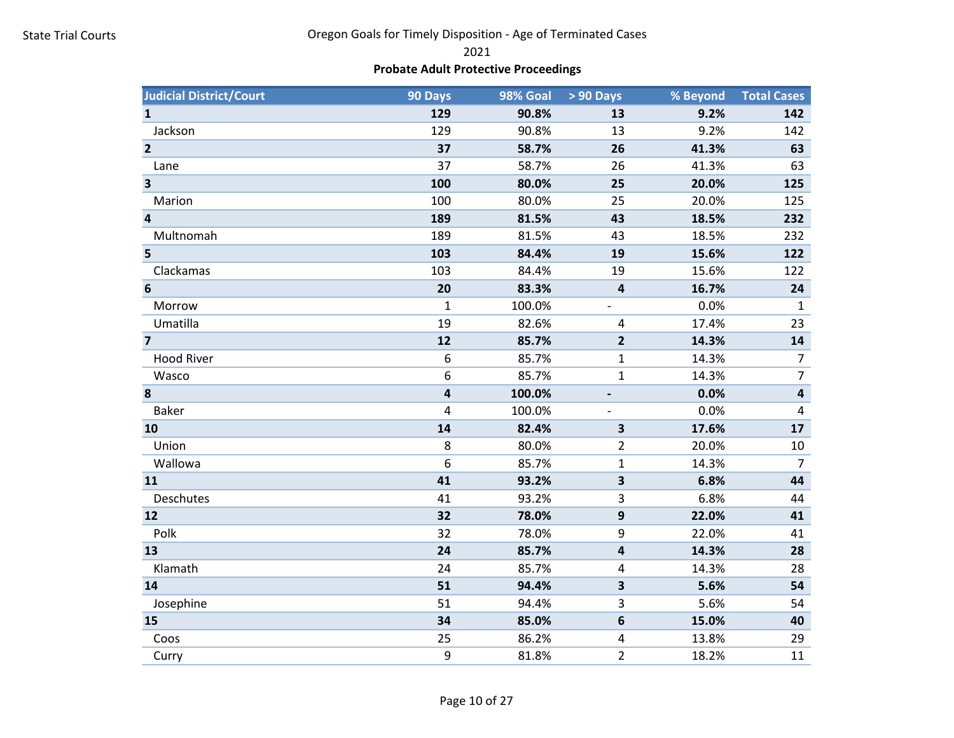2021

# Probate Adult Protective Proceedings

| <b>Judicial District/Court</b> | 90 Days | 98% Goal | > 90 Days                | % Beyond | <b>Total Cases</b>      |
|--------------------------------|---------|----------|--------------------------|----------|-------------------------|
| $\mathbf{1}$                   | 129     | 90.8%    | 13                       | 9.2%     | 142                     |
| Jackson                        | 129     | 90.8%    | 13                       | 9.2%     | 142                     |
| $\overline{2}$                 | 37      | 58.7%    | 26                       | 41.3%    | 63                      |
| Lane                           | 37      | 58.7%    | 26                       | 41.3%    | 63                      |
| $\overline{\mathbf{3}}$        | 100     | 80.0%    | 25                       | 20.0%    | 125                     |
| Marion                         | 100     | 80.0%    | 25                       | 20.0%    | 125                     |
| $\overline{\mathbf{4}}$        | 189     | 81.5%    | 43                       | 18.5%    | 232                     |
| Multnomah                      | 189     | 81.5%    | 43                       | 18.5%    | 232                     |
| 5                              | 103     | 84.4%    | 19                       | 15.6%    | 122                     |
| Clackamas                      | 103     | 84.4%    | 19                       | 15.6%    | 122                     |
| $6\phantom{1}6$                | 20      | 83.3%    | $\overline{\mathbf{4}}$  | 16.7%    | 24                      |
| Morrow                         | 1       | 100.0%   | $\overline{\phantom{a}}$ | 0.0%     | $\mathbf{1}$            |
| Umatilla                       | 19      | 82.6%    | 4                        | 17.4%    | 23                      |
| $\overline{\mathbf{z}}$        | 12      | 85.7%    | $\mathbf{2}$             | 14.3%    | 14                      |
| <b>Hood River</b>              | 6       | 85.7%    | 1                        | 14.3%    | $\overline{7}$          |
| Wasco                          | 6       | 85.7%    | $\mathbf{1}$             | 14.3%    | $\overline{7}$          |
| 8                              | 4       | 100.0%   |                          | 0.0%     | $\overline{\mathbf{4}}$ |
| <b>Baker</b>                   | 4       | 100.0%   |                          | 0.0%     | $\pmb{4}$               |
| 10                             | 14      | 82.4%    | $\overline{\mathbf{3}}$  | 17.6%    | 17                      |
| Union                          | 8       | 80.0%    | $\overline{2}$           | 20.0%    | 10                      |
| Wallowa                        | 6       | 85.7%    | $\mathbf{1}$             | 14.3%    | $\overline{7}$          |
| 11                             | 41      | 93.2%    | 3                        | 6.8%     | 44                      |
| Deschutes                      | 41      | 93.2%    | 3                        | 6.8%     | 44                      |
| 12                             | 32      | 78.0%    | 9                        | 22.0%    | 41                      |
| Polk                           | 32      | 78.0%    | 9                        | 22.0%    | 41                      |
| 13                             | 24      | 85.7%    | 4                        | 14.3%    | 28                      |
| Klamath                        | 24      | 85.7%    | 4                        | 14.3%    | 28                      |
| 14                             | 51      | 94.4%    | 3                        | 5.6%     | 54                      |
| Josephine                      | 51      | 94.4%    | 3                        | 5.6%     | 54                      |
| 15                             | 34      | 85.0%    | 6                        | 15.0%    | 40                      |
| Coos                           | 25      | 86.2%    | 4                        | 13.8%    | 29                      |
| Curry                          | 9       | 81.8%    | $\overline{2}$           | 18.2%    | 11                      |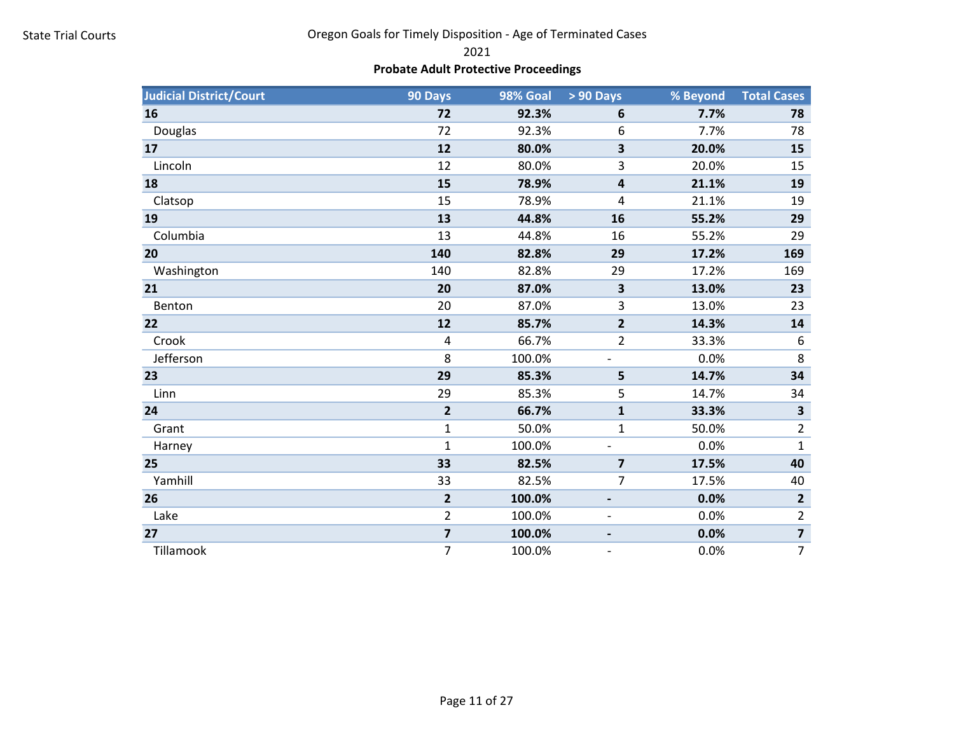2021

# Probate Adult Protective Proceedings

| <b>Judicial District/Court</b> | 90 Days                 | 98% Goal | > 90 Days                    | % Beyond | <b>Total Cases</b>      |
|--------------------------------|-------------------------|----------|------------------------------|----------|-------------------------|
| 16                             | 72                      | 92.3%    | 6                            | 7.7%     | 78                      |
| Douglas                        | 72                      | 92.3%    | 6                            | 7.7%     | 78                      |
| 17                             | 12                      | 80.0%    | 3                            | 20.0%    | 15                      |
| Lincoln                        | 12                      | 80.0%    | 3                            | 20.0%    | 15                      |
| 18                             | 15                      | 78.9%    | 4                            | 21.1%    | 19                      |
| Clatsop                        | 15                      | 78.9%    | 4                            | 21.1%    | 19                      |
| 19                             | 13                      | 44.8%    | 16                           | 55.2%    | 29                      |
| Columbia                       | 13                      | 44.8%    | 16                           | 55.2%    | 29                      |
| 20                             | 140                     | 82.8%    | 29                           | 17.2%    | 169                     |
| Washington                     | 140                     | 82.8%    | 29                           | 17.2%    | 169                     |
| 21                             | 20                      | 87.0%    | $\overline{\mathbf{3}}$      | 13.0%    | 23                      |
| Benton                         | 20                      | 87.0%    | 3                            | 13.0%    | 23                      |
| 22                             | 12                      | 85.7%    | $\overline{2}$               | 14.3%    | 14                      |
| Crook                          | 4                       | 66.7%    | $\overline{2}$               | 33.3%    | 6                       |
| Jefferson                      | 8                       | 100.0%   |                              | 0.0%     | 8                       |
| 23                             | 29                      | 85.3%    | 5                            | 14.7%    | 34                      |
| Linn                           | 29                      | 85.3%    | 5                            | 14.7%    | 34                      |
| 24                             | $\overline{\mathbf{2}}$ | 66.7%    | $\mathbf{1}$                 | 33.3%    | $\overline{\mathbf{3}}$ |
| Grant                          | $\mathbf{1}$            | 50.0%    | $\mathbf{1}$                 | 50.0%    | $\overline{2}$          |
| Harney                         | $\mathbf{1}$            | 100.0%   |                              | 0.0%     | $\mathbf{1}$            |
| 25                             | 33                      | 82.5%    | $\overline{7}$               | 17.5%    | 40                      |
| Yamhill                        | 33                      | 82.5%    | 7                            | 17.5%    | 40                      |
| 26                             | $\overline{2}$          | 100.0%   | -                            | 0.0%     | $\overline{2}$          |
| Lake                           | $\overline{2}$          | 100.0%   | $\qquad \qquad \blacksquare$ | 0.0%     | $\overline{2}$          |
| 27                             | $\overline{\mathbf{z}}$ | 100.0%   |                              | 0.0%     | $\overline{\mathbf{z}}$ |
| Tillamook                      | 7                       | 100.0%   |                              | 0.0%     | $\overline{7}$          |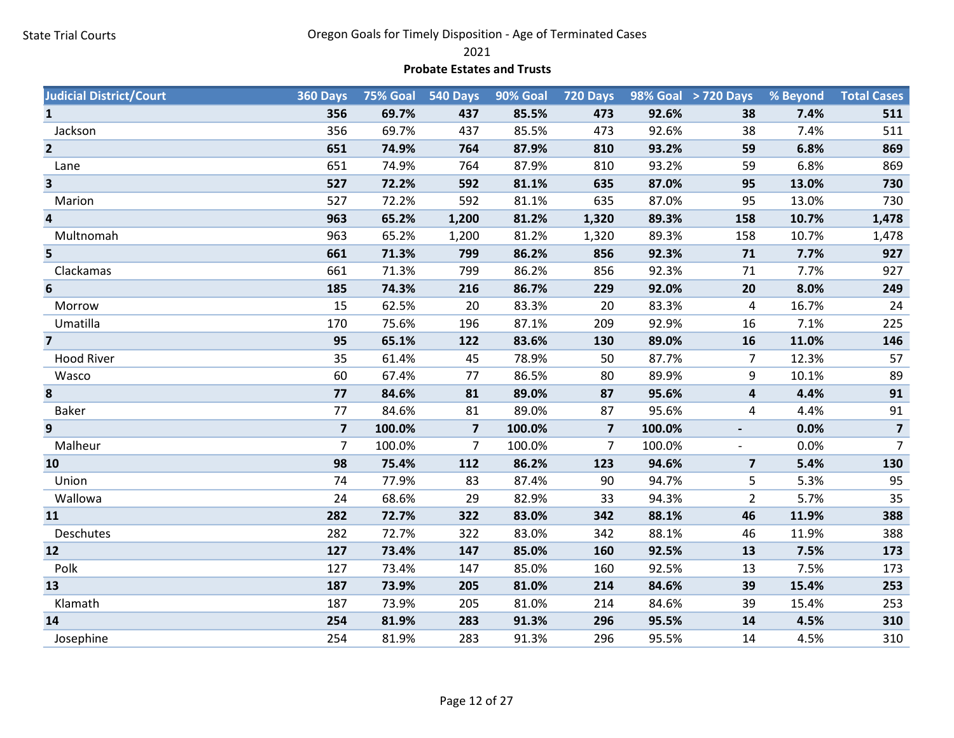2021

#### Probate Estates and Trusts

| <b>Judicial District/Court</b> | 360 Days                |        | 75% Goal 540 Days       | 90% Goal | <b>720 Days</b>         |        | 98% Goal > 720 Days     | % Beyond | <b>Total Cases</b> |
|--------------------------------|-------------------------|--------|-------------------------|----------|-------------------------|--------|-------------------------|----------|--------------------|
| $\mathbf{1}$                   | 356                     | 69.7%  | 437                     | 85.5%    | 473                     | 92.6%  | 38                      | 7.4%     | 511                |
| Jackson                        | 356                     | 69.7%  | 437                     | 85.5%    | 473                     | 92.6%  | 38                      | 7.4%     | 511                |
| $\overline{2}$                 | 651                     | 74.9%  | 764                     | 87.9%    | 810                     | 93.2%  | 59                      | 6.8%     | 869                |
| Lane                           | 651                     | 74.9%  | 764                     | 87.9%    | 810                     | 93.2%  | 59                      | 6.8%     | 869                |
| 3                              | 527                     | 72.2%  | 592                     | 81.1%    | 635                     | 87.0%  | 95                      | 13.0%    | 730                |
| Marion                         | 527                     | 72.2%  | 592                     | 81.1%    | 635                     | 87.0%  | 95                      | 13.0%    | 730                |
| $\overline{\mathbf{4}}$        | 963                     | 65.2%  | 1,200                   | 81.2%    | 1,320                   | 89.3%  | 158                     | 10.7%    | 1,478              |
| Multnomah                      | 963                     | 65.2%  | 1,200                   | 81.2%    | 1,320                   | 89.3%  | 158                     | 10.7%    | 1,478              |
| 5                              | 661                     | 71.3%  | 799                     | 86.2%    | 856                     | 92.3%  | 71                      | 7.7%     | 927                |
| Clackamas                      | 661                     | 71.3%  | 799                     | 86.2%    | 856                     | 92.3%  | 71                      | 7.7%     | 927                |
| 6                              | 185                     | 74.3%  | 216                     | 86.7%    | 229                     | 92.0%  | 20                      | 8.0%     | 249                |
| Morrow                         | 15                      | 62.5%  | 20                      | 83.3%    | 20                      | 83.3%  | 4                       | 16.7%    | 24                 |
| Umatilla                       | 170                     | 75.6%  | 196                     | 87.1%    | 209                     | 92.9%  | 16                      | 7.1%     | 225                |
| $\overline{\mathbf{z}}$        | 95                      | 65.1%  | 122                     | 83.6%    | 130                     | 89.0%  | 16                      | 11.0%    | 146                |
| <b>Hood River</b>              | 35                      | 61.4%  | 45                      | 78.9%    | 50                      | 87.7%  | $\overline{7}$          | 12.3%    | 57                 |
| Wasco                          | 60                      | 67.4%  | 77                      | 86.5%    | 80                      | 89.9%  | 9                       | 10.1%    | 89                 |
| 8                              | 77                      | 84.6%  | 81                      | 89.0%    | 87                      | 95.6%  | $\overline{\mathbf{4}}$ | 4.4%     | 91                 |
| <b>Baker</b>                   | 77                      | 84.6%  | 81                      | 89.0%    | 87                      | 95.6%  | 4                       | 4.4%     | 91                 |
| 9                              | $\overline{\mathbf{z}}$ | 100.0% | $\overline{\mathbf{z}}$ | 100.0%   | $\overline{\mathbf{z}}$ | 100.0% |                         | 0.0%     | $\overline{7}$     |
| Malheur                        | $\overline{7}$          | 100.0% | $\overline{7}$          | 100.0%   | 7                       | 100.0% |                         | 0.0%     | 7 <sup>7</sup>     |
| 10                             | 98                      | 75.4%  | 112                     | 86.2%    | 123                     | 94.6%  | $\overline{\mathbf{z}}$ | 5.4%     | 130                |
| Union                          | 74                      | 77.9%  | 83                      | 87.4%    | 90                      | 94.7%  | 5                       | 5.3%     | 95                 |
| Wallowa                        | 24                      | 68.6%  | 29                      | 82.9%    | 33                      | 94.3%  | $\overline{2}$          | 5.7%     | 35                 |
| 11                             | 282                     | 72.7%  | 322                     | 83.0%    | 342                     | 88.1%  | 46                      | 11.9%    | 388                |
| Deschutes                      | 282                     | 72.7%  | 322                     | 83.0%    | 342                     | 88.1%  | 46                      | 11.9%    | 388                |
| 12                             | 127                     | 73.4%  | 147                     | 85.0%    | 160                     | 92.5%  | 13                      | 7.5%     | 173                |
| Polk                           | 127                     | 73.4%  | 147                     | 85.0%    | 160                     | 92.5%  | 13                      | 7.5%     | 173                |
| 13                             | 187                     | 73.9%  | 205                     | 81.0%    | 214                     | 84.6%  | 39                      | 15.4%    | 253                |
| Klamath                        | 187                     | 73.9%  | 205                     | 81.0%    | 214                     | 84.6%  | 39                      | 15.4%    | 253                |
| 14                             | 254                     | 81.9%  | 283                     | 91.3%    | 296                     | 95.5%  | 14                      | 4.5%     | 310                |
| Josephine                      | 254                     | 81.9%  | 283                     | 91.3%    | 296                     | 95.5%  | 14                      | 4.5%     | 310                |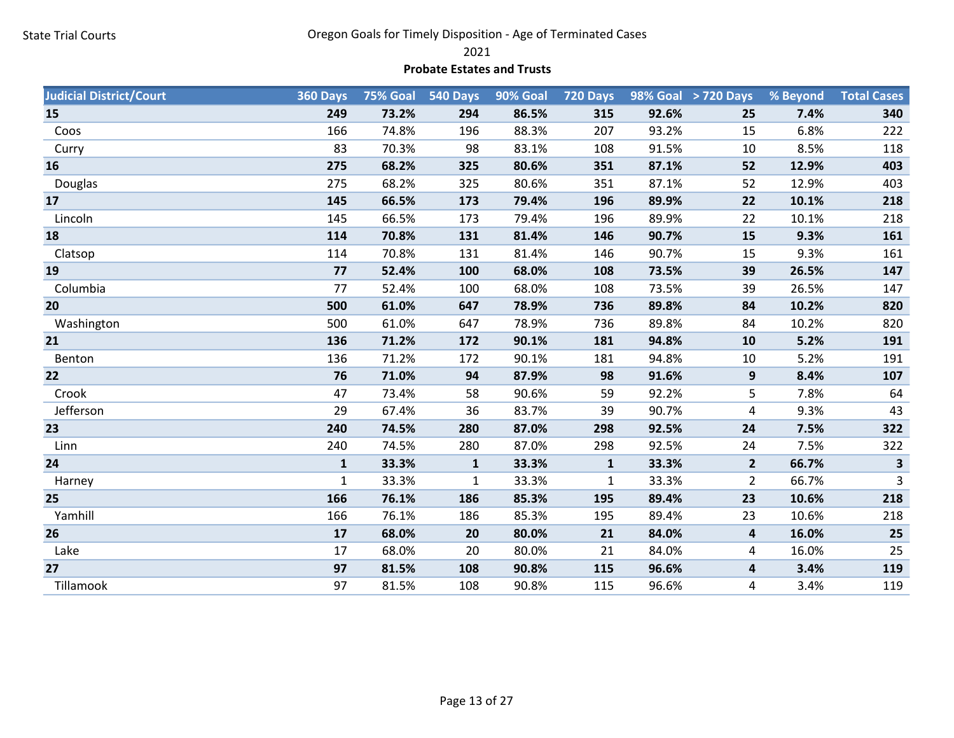2021

#### Probate Estates and Trusts

| <b>Judicial District/Court</b> | 360 Days     |       | 75% Goal 540 Days | 90% Goal | 720 Days     |       | 98% Goal > 720 Days     | % Beyond | <b>Total Cases</b>      |
|--------------------------------|--------------|-------|-------------------|----------|--------------|-------|-------------------------|----------|-------------------------|
| 15                             | 249          | 73.2% | 294               | 86.5%    | 315          | 92.6% | 25                      | 7.4%     | 340                     |
| Coos                           | 166          | 74.8% | 196               | 88.3%    | 207          | 93.2% | 15                      | 6.8%     | 222                     |
| Curry                          | 83           | 70.3% | 98                | 83.1%    | 108          | 91.5% | 10                      | 8.5%     | 118                     |
| 16                             | 275          | 68.2% | 325               | 80.6%    | 351          | 87.1% | 52                      | 12.9%    | 403                     |
| Douglas                        | 275          | 68.2% | 325               | 80.6%    | 351          | 87.1% | 52                      | 12.9%    | 403                     |
| 17                             | 145          | 66.5% | 173               | 79.4%    | 196          | 89.9% | 22                      | 10.1%    | 218                     |
| Lincoln                        | 145          | 66.5% | 173               | 79.4%    | 196          | 89.9% | 22                      | 10.1%    | 218                     |
| 18                             | 114          | 70.8% | 131               | 81.4%    | 146          | 90.7% | 15                      | 9.3%     | 161                     |
| Clatsop                        | 114          | 70.8% | 131               | 81.4%    | 146          | 90.7% | 15                      | 9.3%     | 161                     |
| 19                             | 77           | 52.4% | 100               | 68.0%    | 108          | 73.5% | 39                      | 26.5%    | 147                     |
| Columbia                       | 77           | 52.4% | 100               | 68.0%    | 108          | 73.5% | 39                      | 26.5%    | 147                     |
| 20                             | 500          | 61.0% | 647               | 78.9%    | 736          | 89.8% | 84                      | 10.2%    | 820                     |
| Washington                     | 500          | 61.0% | 647               | 78.9%    | 736          | 89.8% | 84                      | 10.2%    | 820                     |
| 21                             | 136          | 71.2% | 172               | 90.1%    | 181          | 94.8% | 10                      | 5.2%     | 191                     |
| Benton                         | 136          | 71.2% | 172               | 90.1%    | 181          | 94.8% | 10                      | 5.2%     | 191                     |
| 22                             | 76           | 71.0% | 94                | 87.9%    | 98           | 91.6% | 9                       | 8.4%     | 107                     |
| Crook                          | 47           | 73.4% | 58                | 90.6%    | 59           | 92.2% | 5                       | 7.8%     | 64                      |
| Jefferson                      | 29           | 67.4% | 36                | 83.7%    | 39           | 90.7% | 4                       | 9.3%     | 43                      |
| 23                             | 240          | 74.5% | 280               | 87.0%    | 298          | 92.5% | 24                      | 7.5%     | 322                     |
| Linn                           | 240          | 74.5% | 280               | 87.0%    | 298          | 92.5% | 24                      | 7.5%     | 322                     |
| 24                             | $\mathbf{1}$ | 33.3% | $\mathbf 1$       | 33.3%    | $\mathbf{1}$ | 33.3% | $\overline{2}$          | 66.7%    | $\overline{\mathbf{3}}$ |
| Harney                         | $\mathbf{1}$ | 33.3% | $\mathbf{1}$      | 33.3%    | 1            | 33.3% | $\overline{2}$          | 66.7%    | $\mathbf{3}$            |
| 25                             | 166          | 76.1% | 186               | 85.3%    | 195          | 89.4% | 23                      | 10.6%    | 218                     |
| Yamhill                        | 166          | 76.1% | 186               | 85.3%    | 195          | 89.4% | 23                      | 10.6%    | 218                     |
| 26                             | 17           | 68.0% | 20                | 80.0%    | 21           | 84.0% | $\overline{\mathbf{4}}$ | 16.0%    | 25                      |
| Lake                           | 17           | 68.0% | 20                | 80.0%    | 21           | 84.0% | 4                       | 16.0%    | 25                      |
| 27                             | 97           | 81.5% | 108               | 90.8%    | 115          | 96.6% | 4                       | 3.4%     | 119                     |
| Tillamook                      | 97           | 81.5% | 108               | 90.8%    | 115          | 96.6% | 4                       | 3.4%     | 119                     |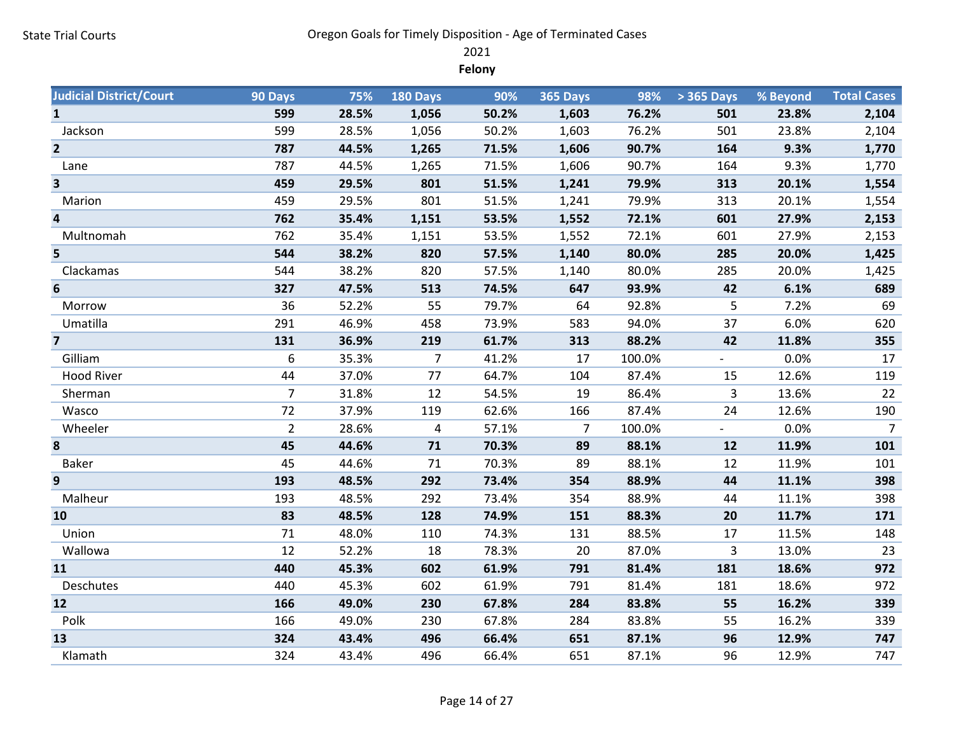2021

Felony

| <b>Judicial District/Court</b> | 90 Days        | 75%   | 180 Days       | 90%   | 365 Days | 98%    | > 365 Days | % Beyond | <b>Total Cases</b> |
|--------------------------------|----------------|-------|----------------|-------|----------|--------|------------|----------|--------------------|
| $\mathbf{1}$                   | 599            | 28.5% | 1,056          | 50.2% | 1,603    | 76.2%  | 501        | 23.8%    | 2,104              |
| Jackson                        | 599            | 28.5% | 1,056          | 50.2% | 1,603    | 76.2%  | 501        | 23.8%    | 2,104              |
| $\overline{2}$                 | 787            | 44.5% | 1,265          | 71.5% | 1,606    | 90.7%  | 164        | 9.3%     | 1,770              |
| Lane                           | 787            | 44.5% | 1,265          | 71.5% | 1,606    | 90.7%  | 164        | 9.3%     | 1,770              |
| $\overline{\mathbf{3}}$        | 459            | 29.5% | 801            | 51.5% | 1,241    | 79.9%  | 313        | 20.1%    | 1,554              |
| Marion                         | 459            | 29.5% | 801            | 51.5% | 1,241    | 79.9%  | 313        | 20.1%    | 1,554              |
| 4                              | 762            | 35.4% | 1,151          | 53.5% | 1,552    | 72.1%  | 601        | 27.9%    | 2,153              |
| Multnomah                      | 762            | 35.4% | 1,151          | 53.5% | 1,552    | 72.1%  | 601        | 27.9%    | 2,153              |
| 5                              | 544            | 38.2% | 820            | 57.5% | 1,140    | 80.0%  | 285        | 20.0%    | 1,425              |
| Clackamas                      | 544            | 38.2% | 820            | 57.5% | 1,140    | 80.0%  | 285        | 20.0%    | 1,425              |
| 6                              | 327            | 47.5% | 513            | 74.5% | 647      | 93.9%  | 42         | 6.1%     | 689                |
| Morrow                         | 36             | 52.2% | 55             | 79.7% | 64       | 92.8%  | 5          | 7.2%     | 69                 |
| Umatilla                       | 291            | 46.9% | 458            | 73.9% | 583      | 94.0%  | 37         | 6.0%     | 620                |
| $\overline{\mathbf{z}}$        | 131            | 36.9% | 219            | 61.7% | 313      | 88.2%  | 42         | 11.8%    | 355                |
| Gilliam                        | 6              | 35.3% | $\overline{7}$ | 41.2% | 17       | 100.0% |            | 0.0%     | 17                 |
| <b>Hood River</b>              | 44             | 37.0% | 77             | 64.7% | 104      | 87.4%  | 15         | 12.6%    | 119                |
| Sherman                        | $\overline{7}$ | 31.8% | 12             | 54.5% | 19       | 86.4%  | 3          | 13.6%    | 22                 |
| Wasco                          | 72             | 37.9% | 119            | 62.6% | 166      | 87.4%  | 24         | 12.6%    | 190                |
| Wheeler                        | $\overline{2}$ | 28.6% | 4              | 57.1% | 7        | 100.0% |            | 0.0%     | $\overline{7}$     |
| 8                              | 45             | 44.6% | 71             | 70.3% | 89       | 88.1%  | 12         | 11.9%    | 101                |
| <b>Baker</b>                   | 45             | 44.6% | 71             | 70.3% | 89       | 88.1%  | 12         | 11.9%    | 101                |
| 9                              | 193            | 48.5% | 292            | 73.4% | 354      | 88.9%  | 44         | 11.1%    | 398                |
| Malheur                        | 193            | 48.5% | 292            | 73.4% | 354      | 88.9%  | 44         | 11.1%    | 398                |
| 10                             | 83             | 48.5% | 128            | 74.9% | 151      | 88.3%  | 20         | 11.7%    | 171                |
| Union                          | 71             | 48.0% | 110            | 74.3% | 131      | 88.5%  | 17         | 11.5%    | 148                |
| Wallowa                        | 12             | 52.2% | 18             | 78.3% | 20       | 87.0%  | 3          | 13.0%    | 23                 |
| 11                             | 440            | 45.3% | 602            | 61.9% | 791      | 81.4%  | 181        | 18.6%    | 972                |
| Deschutes                      | 440            | 45.3% | 602            | 61.9% | 791      | 81.4%  | 181        | 18.6%    | 972                |
| 12                             | 166            | 49.0% | 230            | 67.8% | 284      | 83.8%  | 55         | 16.2%    | 339                |
| Polk                           | 166            | 49.0% | 230            | 67.8% | 284      | 83.8%  | 55         | 16.2%    | 339                |
| 13                             | 324            | 43.4% | 496            | 66.4% | 651      | 87.1%  | 96         | 12.9%    | 747                |
| Klamath                        | 324            | 43.4% | 496            | 66.4% | 651      | 87.1%  | 96         | 12.9%    | 747                |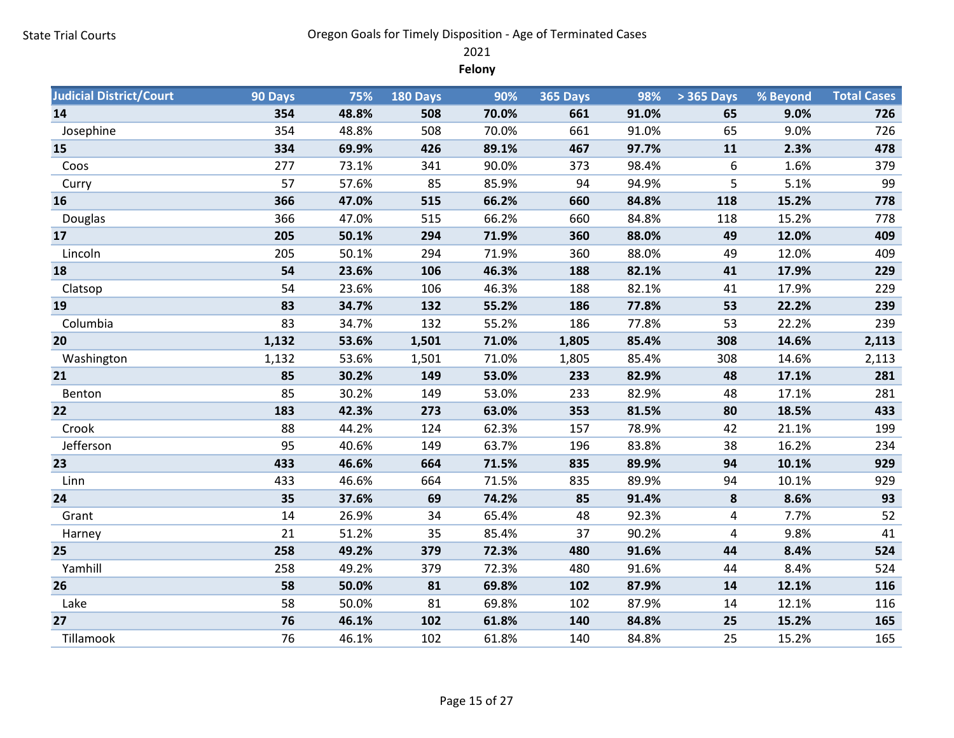2021

Felony

| <b>Judicial District/Court</b> | 90 Days | 75%   | 180 Days | 90%   | <b>365 Days</b> | 98%   | > 365 Days | % Beyond | <b>Total Cases</b> |
|--------------------------------|---------|-------|----------|-------|-----------------|-------|------------|----------|--------------------|
| 14                             | 354     | 48.8% | 508      | 70.0% | 661             | 91.0% | 65         | 9.0%     | 726                |
| Josephine                      | 354     | 48.8% | 508      | 70.0% | 661             | 91.0% | 65         | 9.0%     | 726                |
| 15                             | 334     | 69.9% | 426      | 89.1% | 467             | 97.7% | 11         | 2.3%     | 478                |
| Coos                           | 277     | 73.1% | 341      | 90.0% | 373             | 98.4% | 6          | 1.6%     | 379                |
| Curry                          | 57      | 57.6% | 85       | 85.9% | 94              | 94.9% | 5          | 5.1%     | 99                 |
| 16                             | 366     | 47.0% | 515      | 66.2% | 660             | 84.8% | 118        | 15.2%    | 778                |
| Douglas                        | 366     | 47.0% | 515      | 66.2% | 660             | 84.8% | 118        | 15.2%    | 778                |
| 17                             | 205     | 50.1% | 294      | 71.9% | 360             | 88.0% | 49         | 12.0%    | 409                |
| Lincoln                        | 205     | 50.1% | 294      | 71.9% | 360             | 88.0% | 49         | 12.0%    | 409                |
| 18                             | 54      | 23.6% | 106      | 46.3% | 188             | 82.1% | 41         | 17.9%    | 229                |
| Clatsop                        | 54      | 23.6% | 106      | 46.3% | 188             | 82.1% | 41         | 17.9%    | 229                |
| 19                             | 83      | 34.7% | 132      | 55.2% | 186             | 77.8% | 53         | 22.2%    | 239                |
| Columbia                       | 83      | 34.7% | 132      | 55.2% | 186             | 77.8% | 53         | 22.2%    | 239                |
| 20                             | 1,132   | 53.6% | 1,501    | 71.0% | 1,805           | 85.4% | 308        | 14.6%    | 2,113              |
| Washington                     | 1,132   | 53.6% | 1,501    | 71.0% | 1,805           | 85.4% | 308        | 14.6%    | 2,113              |
| 21                             | 85      | 30.2% | 149      | 53.0% | 233             | 82.9% | 48         | 17.1%    | 281                |
| Benton                         | 85      | 30.2% | 149      | 53.0% | 233             | 82.9% | 48         | 17.1%    | 281                |
| 22                             | 183     | 42.3% | 273      | 63.0% | 353             | 81.5% | 80         | 18.5%    | 433                |
| Crook                          | 88      | 44.2% | 124      | 62.3% | 157             | 78.9% | 42         | 21.1%    | 199                |
| Jefferson                      | 95      | 40.6% | 149      | 63.7% | 196             | 83.8% | 38         | 16.2%    | 234                |
| 23                             | 433     | 46.6% | 664      | 71.5% | 835             | 89.9% | 94         | 10.1%    | 929                |
| Linn                           | 433     | 46.6% | 664      | 71.5% | 835             | 89.9% | 94         | 10.1%    | 929                |
| 24                             | 35      | 37.6% | 69       | 74.2% | 85              | 91.4% | ${\bf 8}$  | 8.6%     | 93                 |
| Grant                          | 14      | 26.9% | 34       | 65.4% | 48              | 92.3% | 4          | 7.7%     | 52                 |
| Harney                         | 21      | 51.2% | 35       | 85.4% | 37              | 90.2% | 4          | 9.8%     | 41                 |
| 25                             | 258     | 49.2% | 379      | 72.3% | 480             | 91.6% | 44         | 8.4%     | 524                |
| Yamhill                        | 258     | 49.2% | 379      | 72.3% | 480             | 91.6% | 44         | 8.4%     | 524                |
| 26                             | 58      | 50.0% | 81       | 69.8% | 102             | 87.9% | 14         | 12.1%    | 116                |
| Lake                           | 58      | 50.0% | 81       | 69.8% | 102             | 87.9% | 14         | 12.1%    | 116                |
| 27                             | 76      | 46.1% | 102      | 61.8% | 140             | 84.8% | 25         | 15.2%    | 165                |
| Tillamook                      | 76      | 46.1% | 102      | 61.8% | 140             | 84.8% | 25         | 15.2%    | 165                |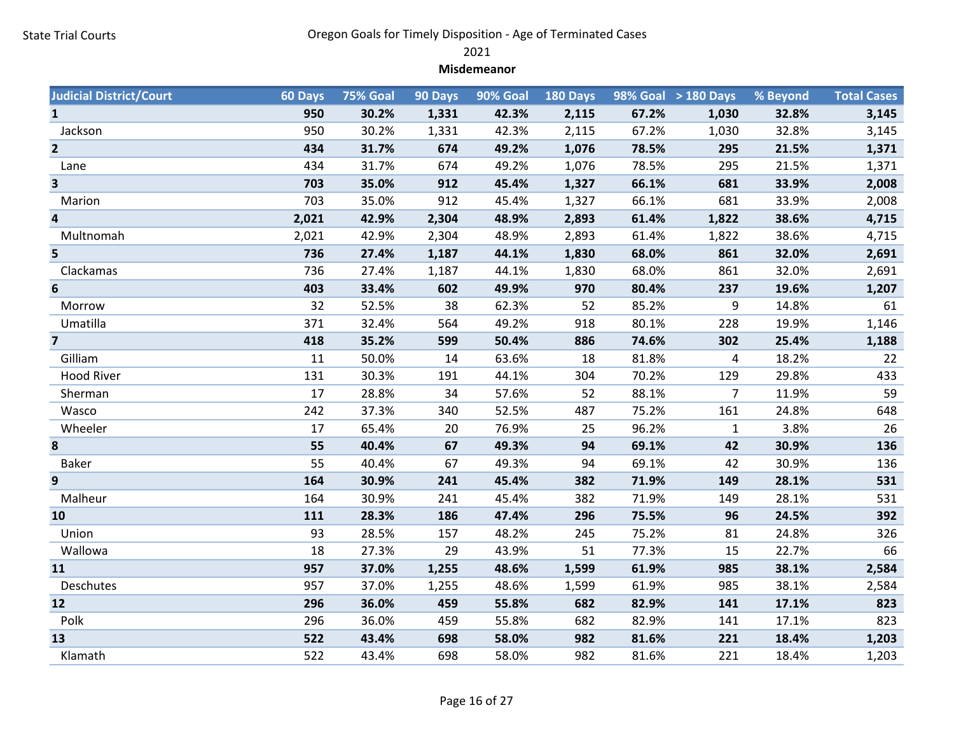2021

#### Misdemeanor

| <b>Judicial District/Court</b> | 60 Days | 75% Goal | 90 Days | <b>90% Goal</b> | 180 Days |       | 98% Goal > 180 Days | % Beyond | <b>Total Cases</b> |
|--------------------------------|---------|----------|---------|-----------------|----------|-------|---------------------|----------|--------------------|
| $\mathbf{1}$                   | 950     | 30.2%    | 1,331   | 42.3%           | 2,115    | 67.2% | 1,030               | 32.8%    | 3,145              |
| Jackson                        | 950     | 30.2%    | 1,331   | 42.3%           | 2,115    | 67.2% | 1,030               | 32.8%    | 3,145              |
| $\overline{2}$                 | 434     | 31.7%    | 674     | 49.2%           | 1,076    | 78.5% | 295                 | 21.5%    | 1,371              |
| Lane                           | 434     | 31.7%    | 674     | 49.2%           | 1,076    | 78.5% | 295                 | 21.5%    | 1,371              |
| 3                              | 703     | 35.0%    | 912     | 45.4%           | 1,327    | 66.1% | 681                 | 33.9%    | 2,008              |
| Marion                         | 703     | 35.0%    | 912     | 45.4%           | 1,327    | 66.1% | 681                 | 33.9%    | 2,008              |
| 4                              | 2,021   | 42.9%    | 2,304   | 48.9%           | 2,893    | 61.4% | 1,822               | 38.6%    | 4,715              |
| Multnomah                      | 2,021   | 42.9%    | 2,304   | 48.9%           | 2,893    | 61.4% | 1,822               | 38.6%    | 4,715              |
| 5                              | 736     | 27.4%    | 1,187   | 44.1%           | 1,830    | 68.0% | 861                 | 32.0%    | 2,691              |
| Clackamas                      | 736     | 27.4%    | 1,187   | 44.1%           | 1,830    | 68.0% | 861                 | 32.0%    | 2,691              |
| $6\phantom{1}6$                | 403     | 33.4%    | 602     | 49.9%           | 970      | 80.4% | 237                 | 19.6%    | 1,207              |
| Morrow                         | 32      | 52.5%    | 38      | 62.3%           | 52       | 85.2% | 9                   | 14.8%    | 61                 |
| Umatilla                       | 371     | 32.4%    | 564     | 49.2%           | 918      | 80.1% | 228                 | 19.9%    | 1,146              |
| $\overline{7}$                 | 418     | 35.2%    | 599     | 50.4%           | 886      | 74.6% | 302                 | 25.4%    | 1,188              |
| Gilliam                        | 11      | 50.0%    | 14      | 63.6%           | 18       | 81.8% | 4                   | 18.2%    | 22                 |
| <b>Hood River</b>              | 131     | 30.3%    | 191     | 44.1%           | 304      | 70.2% | 129                 | 29.8%    | 433                |
| Sherman                        | 17      | 28.8%    | 34      | 57.6%           | 52       | 88.1% | $\overline{7}$      | 11.9%    | 59                 |
| Wasco                          | 242     | 37.3%    | 340     | 52.5%           | 487      | 75.2% | 161                 | 24.8%    | 648                |
| Wheeler                        | 17      | 65.4%    | 20      | 76.9%           | 25       | 96.2% | $\mathbf{1}$        | 3.8%     | 26                 |
| 8                              | 55      | 40.4%    | 67      | 49.3%           | 94       | 69.1% | 42                  | 30.9%    | 136                |
| <b>Baker</b>                   | 55      | 40.4%    | 67      | 49.3%           | 94       | 69.1% | 42                  | 30.9%    | 136                |
| 9                              | 164     | 30.9%    | 241     | 45.4%           | 382      | 71.9% | 149                 | 28.1%    | 531                |
| Malheur                        | 164     | 30.9%    | 241     | 45.4%           | 382      | 71.9% | 149                 | 28.1%    | 531                |
| 10                             | 111     | 28.3%    | 186     | 47.4%           | 296      | 75.5% | 96                  | 24.5%    | 392                |
| Union                          | 93      | 28.5%    | 157     | 48.2%           | 245      | 75.2% | 81                  | 24.8%    | 326                |
| Wallowa                        | 18      | 27.3%    | 29      | 43.9%           | 51       | 77.3% | 15                  | 22.7%    | 66                 |
| 11                             | 957     | 37.0%    | 1,255   | 48.6%           | 1,599    | 61.9% | 985                 | 38.1%    | 2,584              |
| Deschutes                      | 957     | 37.0%    | 1,255   | 48.6%           | 1,599    | 61.9% | 985                 | 38.1%    | 2,584              |
| 12                             | 296     | 36.0%    | 459     | 55.8%           | 682      | 82.9% | 141                 | 17.1%    | 823                |
| Polk                           | 296     | 36.0%    | 459     | 55.8%           | 682      | 82.9% | 141                 | 17.1%    | 823                |
| 13                             | 522     | 43.4%    | 698     | 58.0%           | 982      | 81.6% | 221                 | 18.4%    | 1,203              |
| Klamath                        | 522     | 43.4%    | 698     | 58.0%           | 982      | 81.6% | 221                 | 18.4%    | 1,203              |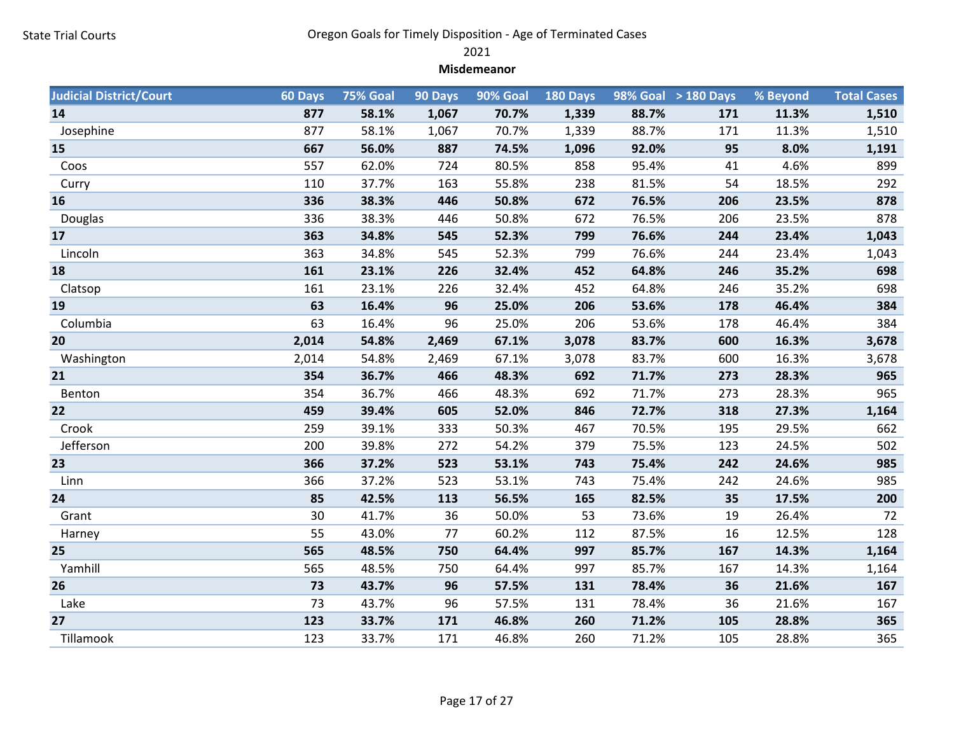2021

#### Misdemeanor

| <b>Judicial District/Court</b> | 60 Days | 75% Goal | 90 Days | 90% Goal | 180 Days |       | 98% Goal > 180 Days | % Beyond | <b>Total Cases</b> |
|--------------------------------|---------|----------|---------|----------|----------|-------|---------------------|----------|--------------------|
| 14                             | 877     | 58.1%    | 1,067   | 70.7%    | 1,339    | 88.7% | 171                 | 11.3%    | 1,510              |
| Josephine                      | 877     | 58.1%    | 1,067   | 70.7%    | 1,339    | 88.7% | 171                 | 11.3%    | 1,510              |
| 15                             | 667     | 56.0%    | 887     | 74.5%    | 1,096    | 92.0% | 95                  | 8.0%     | 1,191              |
| Coos                           | 557     | 62.0%    | 724     | 80.5%    | 858      | 95.4% | 41                  | 4.6%     | 899                |
| Curry                          | 110     | 37.7%    | 163     | 55.8%    | 238      | 81.5% | 54                  | 18.5%    | 292                |
| 16                             | 336     | 38.3%    | 446     | 50.8%    | 672      | 76.5% | 206                 | 23.5%    | 878                |
| Douglas                        | 336     | 38.3%    | 446     | 50.8%    | 672      | 76.5% | 206                 | 23.5%    | 878                |
| 17                             | 363     | 34.8%    | 545     | 52.3%    | 799      | 76.6% | 244                 | 23.4%    | 1,043              |
| Lincoln                        | 363     | 34.8%    | 545     | 52.3%    | 799      | 76.6% | 244                 | 23.4%    | 1,043              |
| 18                             | 161     | 23.1%    | 226     | 32.4%    | 452      | 64.8% | 246                 | 35.2%    | 698                |
| Clatsop                        | 161     | 23.1%    | 226     | 32.4%    | 452      | 64.8% | 246                 | 35.2%    | 698                |
| 19                             | 63      | 16.4%    | 96      | 25.0%    | 206      | 53.6% | 178                 | 46.4%    | 384                |
| Columbia                       | 63      | 16.4%    | 96      | 25.0%    | 206      | 53.6% | 178                 | 46.4%    | 384                |
| 20                             | 2,014   | 54.8%    | 2,469   | 67.1%    | 3,078    | 83.7% | 600                 | 16.3%    | 3,678              |
| Washington                     | 2,014   | 54.8%    | 2,469   | 67.1%    | 3,078    | 83.7% | 600                 | 16.3%    | 3,678              |
| 21                             | 354     | 36.7%    | 466     | 48.3%    | 692      | 71.7% | 273                 | 28.3%    | 965                |
| Benton                         | 354     | 36.7%    | 466     | 48.3%    | 692      | 71.7% | 273                 | 28.3%    | 965                |
| 22                             | 459     | 39.4%    | 605     | 52.0%    | 846      | 72.7% | 318                 | 27.3%    | 1,164              |
| Crook                          | 259     | 39.1%    | 333     | 50.3%    | 467      | 70.5% | 195                 | 29.5%    | 662                |
| Jefferson                      | 200     | 39.8%    | 272     | 54.2%    | 379      | 75.5% | 123                 | 24.5%    | 502                |
| 23                             | 366     | 37.2%    | 523     | 53.1%    | 743      | 75.4% | 242                 | 24.6%    | 985                |
| Linn                           | 366     | 37.2%    | 523     | 53.1%    | 743      | 75.4% | 242                 | 24.6%    | 985                |
| 24                             | 85      | 42.5%    | 113     | 56.5%    | 165      | 82.5% | 35                  | 17.5%    | 200                |
| Grant                          | 30      | 41.7%    | 36      | 50.0%    | 53       | 73.6% | 19                  | 26.4%    | 72                 |
| Harney                         | 55      | 43.0%    | 77      | 60.2%    | 112      | 87.5% | 16                  | 12.5%    | 128                |
| 25                             | 565     | 48.5%    | 750     | 64.4%    | 997      | 85.7% | 167                 | 14.3%    | 1,164              |
| Yamhill                        | 565     | 48.5%    | 750     | 64.4%    | 997      | 85.7% | 167                 | 14.3%    | 1,164              |
| 26                             | 73      | 43.7%    | 96      | 57.5%    | 131      | 78.4% | 36                  | 21.6%    | 167                |
| Lake                           | 73      | 43.7%    | 96      | 57.5%    | 131      | 78.4% | 36                  | 21.6%    | 167                |
| 27                             | 123     | 33.7%    | 171     | 46.8%    | 260      | 71.2% | 105                 | 28.8%    | 365                |
| Tillamook                      | 123     | 33.7%    | 171     | 46.8%    | 260      | 71.2% | 105                 | 28.8%    | 365                |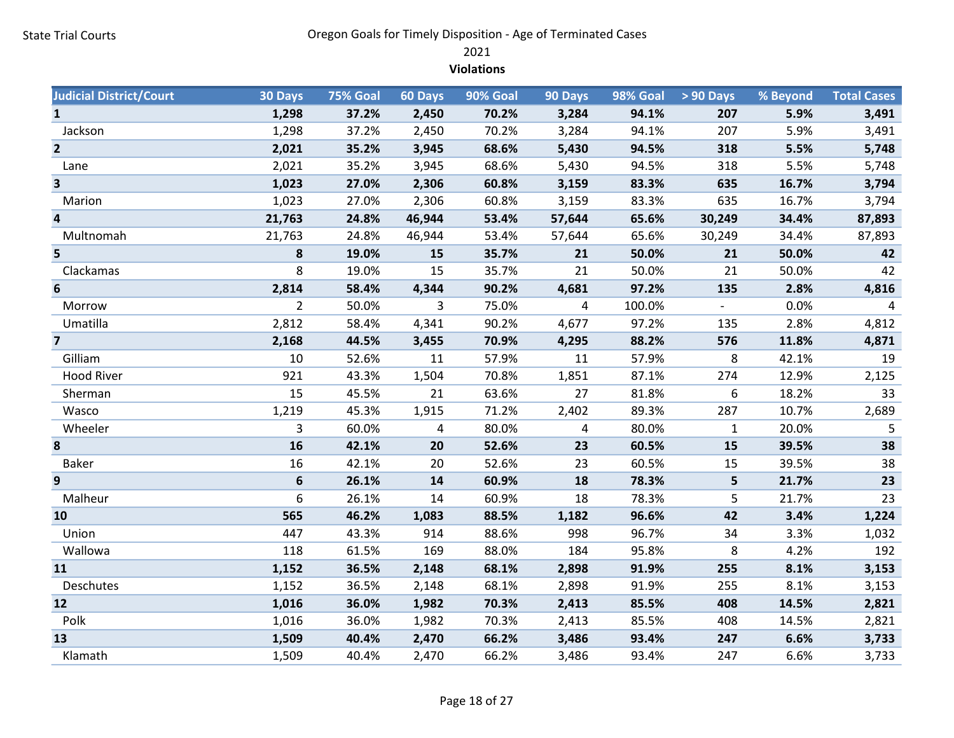2021

#### Violations

| <b>Judicial District/Court</b> | 30 Days        | <b>75% Goal</b> | 60 Days      | 90% Goal | 90 Days | 98% Goal | $> 90$ Days                        | % Beyond | <b>Total Cases</b> |
|--------------------------------|----------------|-----------------|--------------|----------|---------|----------|------------------------------------|----------|--------------------|
| $\mathbf{1}$                   | 1,298          | 37.2%           | 2,450        | 70.2%    | 3,284   | 94.1%    | 207                                | 5.9%     | 3,491              |
| Jackson                        | 1,298          | 37.2%           | 2,450        | 70.2%    | 3,284   | 94.1%    | 207                                | 5.9%     | 3,491              |
| $\overline{2}$                 | 2,021          | 35.2%           | 3,945        | 68.6%    | 5,430   | 94.5%    | 318                                | 5.5%     | 5,748              |
| Lane                           | 2,021          | 35.2%           | 3,945        | 68.6%    | 5,430   | 94.5%    | 318                                | 5.5%     | 5,748              |
| $\overline{\mathbf{3}}$        | 1,023          | 27.0%           | 2,306        | 60.8%    | 3,159   | 83.3%    | 635                                | 16.7%    | 3,794              |
| Marion                         | 1,023          | 27.0%           | 2,306        | 60.8%    | 3,159   | 83.3%    | 635                                | 16.7%    | 3,794              |
| 4                              | 21,763         | 24.8%           | 46,944       | 53.4%    | 57,644  | 65.6%    | 30,249                             | 34.4%    | 87,893             |
| Multnomah                      | 21,763         | 24.8%           | 46,944       | 53.4%    | 57,644  | 65.6%    | 30,249                             | 34.4%    | 87,893             |
| 5                              | 8              | 19.0%           | 15           | 35.7%    | 21      | 50.0%    | 21                                 | 50.0%    | 42                 |
| Clackamas                      | 8              | 19.0%           | 15           | 35.7%    | 21      | 50.0%    | 21                                 | 50.0%    | 42                 |
| 6                              | 2,814          | 58.4%           | 4,344        | 90.2%    | 4,681   | 97.2%    | 135                                | 2.8%     | 4,816              |
| Morrow                         | $\overline{2}$ | 50.0%           | $\mathbf{3}$ | 75.0%    | 4       | 100.0%   | $\mathbb{Z}^{\mathbb{Z}^{\times}}$ | 0.0%     | $\overline{4}$     |
| Umatilla                       | 2,812          | 58.4%           | 4,341        | 90.2%    | 4,677   | 97.2%    | 135                                | 2.8%     | 4,812              |
| $\overline{7}$                 | 2,168          | 44.5%           | 3,455        | 70.9%    | 4,295   | 88.2%    | 576                                | 11.8%    | 4,871              |
| Gilliam                        | 10             | 52.6%           | 11           | 57.9%    | 11      | 57.9%    | 8                                  | 42.1%    | 19                 |
| <b>Hood River</b>              | 921            | 43.3%           | 1,504        | 70.8%    | 1,851   | 87.1%    | 274                                | 12.9%    | 2,125              |
| Sherman                        | 15             | 45.5%           | 21           | 63.6%    | 27      | 81.8%    | 6                                  | 18.2%    | 33                 |
| Wasco                          | 1,219          | 45.3%           | 1,915        | 71.2%    | 2,402   | 89.3%    | 287                                | 10.7%    | 2,689              |
| Wheeler                        | 3              | 60.0%           | 4            | 80.0%    | 4       | 80.0%    | $\mathbf{1}$                       | 20.0%    | 5                  |
| 8                              | 16             | 42.1%           | 20           | 52.6%    | 23      | 60.5%    | 15                                 | 39.5%    | 38                 |
| <b>Baker</b>                   | 16             | 42.1%           | 20           | 52.6%    | 23      | 60.5%    | 15                                 | 39.5%    | 38                 |
| 9                              | 6              | 26.1%           | 14           | 60.9%    | 18      | 78.3%    | 5                                  | 21.7%    | 23                 |
| Malheur                        | 6              | 26.1%           | 14           | 60.9%    | 18      | 78.3%    | 5                                  | 21.7%    | 23                 |
| 10                             | 565            | 46.2%           | 1,083        | 88.5%    | 1,182   | 96.6%    | 42                                 | 3.4%     | 1,224              |
| Union                          | 447            | 43.3%           | 914          | 88.6%    | 998     | 96.7%    | 34                                 | 3.3%     | 1,032              |
| Wallowa                        | 118            | 61.5%           | 169          | 88.0%    | 184     | 95.8%    | 8                                  | 4.2%     | 192                |
| 11                             | 1,152          | 36.5%           | 2,148        | 68.1%    | 2,898   | 91.9%    | 255                                | 8.1%     | 3,153              |
| Deschutes                      | 1,152          | 36.5%           | 2,148        | 68.1%    | 2,898   | 91.9%    | 255                                | 8.1%     | 3,153              |
| 12                             | 1,016          | 36.0%           | 1,982        | 70.3%    | 2,413   | 85.5%    | 408                                | 14.5%    | 2,821              |
| Polk                           | 1,016          | 36.0%           | 1,982        | 70.3%    | 2,413   | 85.5%    | 408                                | 14.5%    | 2,821              |
| 13                             | 1,509          | 40.4%           | 2,470        | 66.2%    | 3,486   | 93.4%    | 247                                | 6.6%     | 3,733              |
| Klamath                        | 1,509          | 40.4%           | 2,470        | 66.2%    | 3,486   | 93.4%    | 247                                | 6.6%     | 3,733              |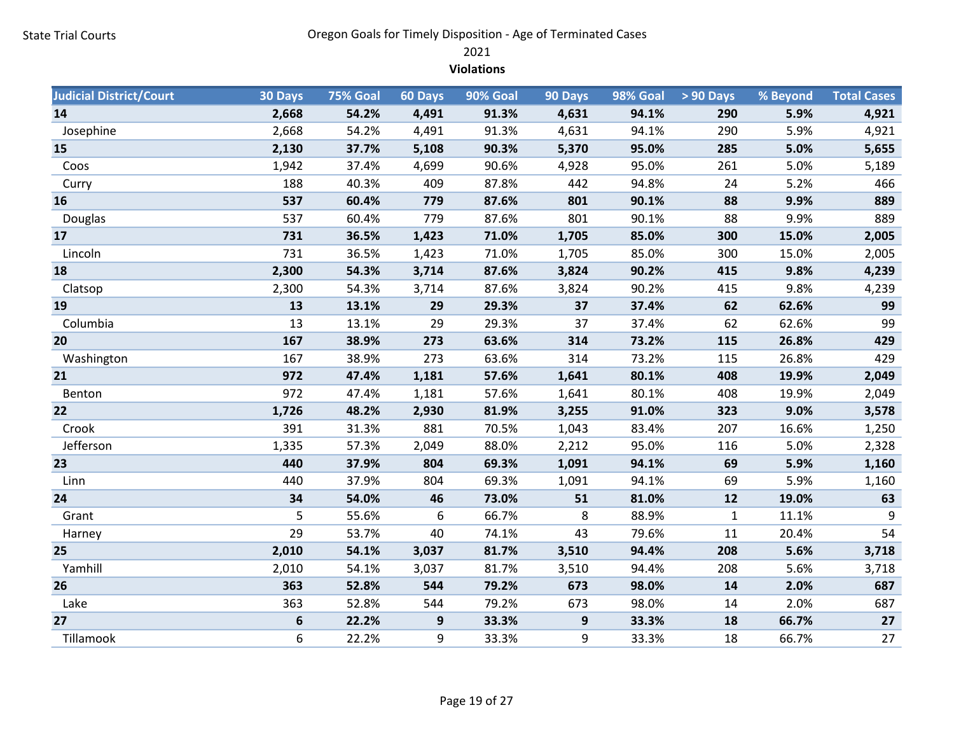2021

Violations

| <b>Judicial District/Court</b> | 30 Days | <b>75% Goal</b> | 60 Days | 90% Goal | 90 Days | 98% Goal | $> 90$ Days  | % Beyond | <b>Total Cases</b> |
|--------------------------------|---------|-----------------|---------|----------|---------|----------|--------------|----------|--------------------|
| 14                             | 2,668   | 54.2%           | 4,491   | 91.3%    | 4,631   | 94.1%    | 290          | 5.9%     | 4,921              |
| Josephine                      | 2,668   | 54.2%           | 4,491   | 91.3%    | 4,631   | 94.1%    | 290          | 5.9%     | 4,921              |
| 15                             | 2,130   | 37.7%           | 5,108   | 90.3%    | 5,370   | 95.0%    | 285          | 5.0%     | 5,655              |
| Coos                           | 1,942   | 37.4%           | 4,699   | 90.6%    | 4,928   | 95.0%    | 261          | 5.0%     | 5,189              |
| Curry                          | 188     | 40.3%           | 409     | 87.8%    | 442     | 94.8%    | 24           | 5.2%     | 466                |
| 16                             | 537     | 60.4%           | 779     | 87.6%    | 801     | 90.1%    | 88           | 9.9%     | 889                |
| Douglas                        | 537     | 60.4%           | 779     | 87.6%    | 801     | 90.1%    | 88           | 9.9%     | 889                |
| 17                             | 731     | 36.5%           | 1,423   | 71.0%    | 1,705   | 85.0%    | 300          | 15.0%    | 2,005              |
| Lincoln                        | 731     | 36.5%           | 1,423   | 71.0%    | 1,705   | 85.0%    | 300          | 15.0%    | 2,005              |
| 18                             | 2,300   | 54.3%           | 3,714   | 87.6%    | 3,824   | 90.2%    | 415          | 9.8%     | 4,239              |
| Clatsop                        | 2,300   | 54.3%           | 3,714   | 87.6%    | 3,824   | 90.2%    | 415          | 9.8%     | 4,239              |
| 19                             | 13      | 13.1%           | 29      | 29.3%    | 37      | 37.4%    | 62           | 62.6%    | 99                 |
| Columbia                       | 13      | 13.1%           | 29      | 29.3%    | 37      | 37.4%    | 62           | 62.6%    | 99                 |
| 20                             | 167     | 38.9%           | 273     | 63.6%    | 314     | 73.2%    | 115          | 26.8%    | 429                |
| Washington                     | 167     | 38.9%           | 273     | 63.6%    | 314     | 73.2%    | 115          | 26.8%    | 429                |
| 21                             | 972     | 47.4%           | 1,181   | 57.6%    | 1,641   | 80.1%    | 408          | 19.9%    | 2,049              |
| Benton                         | 972     | 47.4%           | 1,181   | 57.6%    | 1,641   | 80.1%    | 408          | 19.9%    | 2,049              |
| 22                             | 1,726   | 48.2%           | 2,930   | 81.9%    | 3,255   | 91.0%    | 323          | 9.0%     | 3,578              |
| Crook                          | 391     | 31.3%           | 881     | 70.5%    | 1,043   | 83.4%    | 207          | 16.6%    | 1,250              |
| Jefferson                      | 1,335   | 57.3%           | 2,049   | 88.0%    | 2,212   | 95.0%    | 116          | 5.0%     | 2,328              |
| 23                             | 440     | 37.9%           | 804     | 69.3%    | 1,091   | 94.1%    | 69           | 5.9%     | 1,160              |
| Linn                           | 440     | 37.9%           | 804     | 69.3%    | 1,091   | 94.1%    | 69           | 5.9%     | 1,160              |
| 24                             | 34      | 54.0%           | 46      | 73.0%    | 51      | 81.0%    | 12           | 19.0%    | 63                 |
| Grant                          | 5       | 55.6%           | 6       | 66.7%    | 8       | 88.9%    | $\mathbf{1}$ | 11.1%    | 9                  |
| Harney                         | 29      | 53.7%           | 40      | 74.1%    | 43      | 79.6%    | 11           | 20.4%    | 54                 |
| 25                             | 2,010   | 54.1%           | 3,037   | 81.7%    | 3,510   | 94.4%    | 208          | 5.6%     | 3,718              |
| Yamhill                        | 2,010   | 54.1%           | 3,037   | 81.7%    | 3,510   | 94.4%    | 208          | 5.6%     | 3,718              |
| 26                             | 363     | 52.8%           | 544     | 79.2%    | 673     | 98.0%    | 14           | 2.0%     | 687                |
| Lake                           | 363     | 52.8%           | 544     | 79.2%    | 673     | 98.0%    | 14           | 2.0%     | 687                |
| 27                             | 6       | 22.2%           | 9       | 33.3%    | 9       | 33.3%    | 18           | 66.7%    | $27$               |
| Tillamook                      | 6       | 22.2%           | 9       | 33.3%    | 9       | 33.3%    | 18           | 66.7%    | 27                 |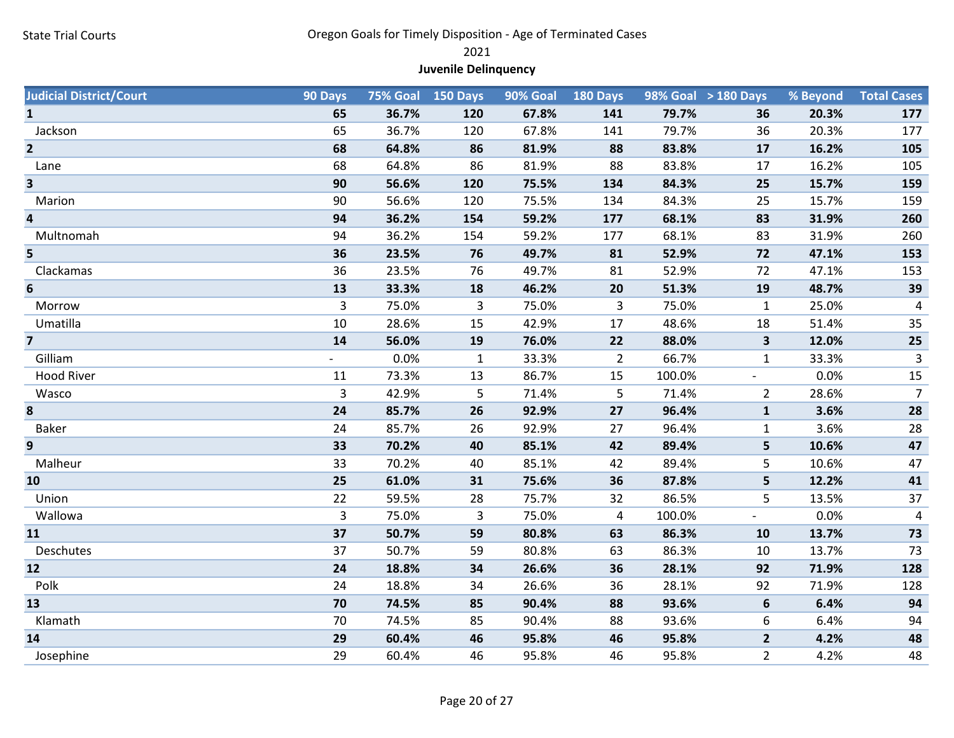2021

# Juvenile Delinquency

| <b>Judicial District/Court</b> | 90 Days |       | <b>75% Goal 150 Days</b> | 90% Goal | <b>180 Days</b> |        | 98% Goal > 180 Days      | % Beyond | <b>Total Cases</b>      |
|--------------------------------|---------|-------|--------------------------|----------|-----------------|--------|--------------------------|----------|-------------------------|
| $\mathbf{1}$                   | 65      | 36.7% | 120                      | 67.8%    | 141             | 79.7%  | 36                       | 20.3%    | 177                     |
| Jackson                        | 65      | 36.7% | 120                      | 67.8%    | 141             | 79.7%  | 36                       | 20.3%    | 177                     |
| $\overline{2}$                 | 68      | 64.8% | 86                       | 81.9%    | 88              | 83.8%  | 17                       | 16.2%    | 105                     |
| Lane                           | 68      | 64.8% | 86                       | 81.9%    | 88              | 83.8%  | 17                       | 16.2%    | 105                     |
| $\overline{\mathbf{3}}$        | 90      | 56.6% | 120                      | 75.5%    | 134             | 84.3%  | 25                       | 15.7%    | 159                     |
| Marion                         | 90      | 56.6% | 120                      | 75.5%    | 134             | 84.3%  | 25                       | 15.7%    | 159                     |
| 4                              | 94      | 36.2% | 154                      | 59.2%    | 177             | 68.1%  | 83                       | 31.9%    | 260                     |
| Multnomah                      | 94      | 36.2% | 154                      | 59.2%    | 177             | 68.1%  | 83                       | 31.9%    | 260                     |
| 5                              | 36      | 23.5% | 76                       | 49.7%    | 81              | 52.9%  | 72                       | 47.1%    | 153                     |
| Clackamas                      | 36      | 23.5% | 76                       | 49.7%    | 81              | 52.9%  | 72                       | 47.1%    | 153                     |
| 6                              | 13      | 33.3% | 18                       | 46.2%    | 20              | 51.3%  | 19                       | 48.7%    | 39                      |
| Morrow                         | 3       | 75.0% | 3                        | 75.0%    | 3               | 75.0%  | $\mathbf{1}$             | 25.0%    | $\overline{\mathbf{4}}$ |
| Umatilla                       | 10      | 28.6% | 15                       | 42.9%    | 17              | 48.6%  | 18                       | 51.4%    | 35                      |
| $\overline{\mathbf{z}}$        | 14      | 56.0% | 19                       | 76.0%    | 22              | 88.0%  | $\overline{\mathbf{3}}$  | 12.0%    | $25\,$                  |
| Gilliam                        |         | 0.0%  | $\mathbf{1}$             | 33.3%    | $\overline{2}$  | 66.7%  | $\mathbf{1}$             | 33.3%    | $\mathbf{3}$            |
| <b>Hood River</b>              | 11      | 73.3% | 13                       | 86.7%    | 15              | 100.0% | $\overline{\phantom{a}}$ | 0.0%     | 15                      |
| Wasco                          | 3       | 42.9% | 5                        | 71.4%    | 5               | 71.4%  | $\overline{2}$           | 28.6%    | $\overline{7}$          |
| 8                              | 24      | 85.7% | 26                       | 92.9%    | 27              | 96.4%  | $\mathbf 1$              | 3.6%     | 28                      |
| Baker                          | 24      | 85.7% | 26                       | 92.9%    | 27              | 96.4%  | $\mathbf{1}$             | 3.6%     | 28                      |
| 9                              | 33      | 70.2% | 40                       | 85.1%    | 42              | 89.4%  | 5                        | 10.6%    | 47                      |
| Malheur                        | 33      | 70.2% | 40                       | 85.1%    | 42              | 89.4%  | 5                        | 10.6%    | 47                      |
| 10                             | 25      | 61.0% | 31                       | 75.6%    | 36              | 87.8%  | 5                        | 12.2%    | 41                      |
| Union                          | 22      | 59.5% | 28                       | 75.7%    | 32              | 86.5%  | 5                        | 13.5%    | 37                      |
| Wallowa                        | 3       | 75.0% | 3                        | 75.0%    | 4               | 100.0% | $\blacksquare$           | 0.0%     | 4                       |
| 11                             | 37      | 50.7% | 59                       | 80.8%    | 63              | 86.3%  | 10                       | 13.7%    | 73                      |
| Deschutes                      | 37      | 50.7% | 59                       | 80.8%    | 63              | 86.3%  | 10                       | 13.7%    | 73                      |
| 12                             | 24      | 18.8% | 34                       | 26.6%    | 36              | 28.1%  | 92                       | 71.9%    | 128                     |
| Polk                           | 24      | 18.8% | 34                       | 26.6%    | 36              | 28.1%  | 92                       | 71.9%    | 128                     |
| 13                             | 70      | 74.5% | 85                       | 90.4%    | 88              | 93.6%  | 6                        | 6.4%     | 94                      |
| Klamath                        | 70      | 74.5% | 85                       | 90.4%    | 88              | 93.6%  | 6                        | 6.4%     | 94                      |
| 14                             | 29      | 60.4% | 46                       | 95.8%    | 46              | 95.8%  | $\overline{2}$           | 4.2%     | 48                      |
| Josephine                      | 29      | 60.4% | 46                       | 95.8%    | 46              | 95.8%  | $\overline{2}$           | 4.2%     | 48                      |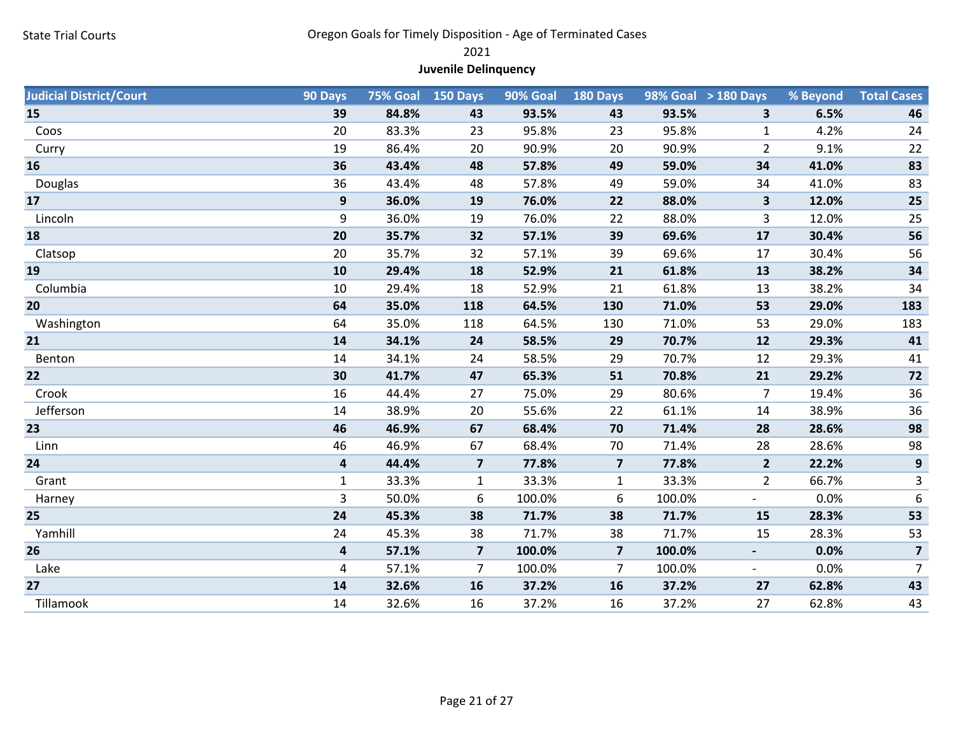2021

# Juvenile Delinquency

| <b>Judicial District/Court</b> | 90 Days                 |       | <b>75% Goal 150 Days</b> | 90% Goal | 180 Days                |        | 98% Goal > 180 Days      | % Beyond | <b>Total Cases</b> |
|--------------------------------|-------------------------|-------|--------------------------|----------|-------------------------|--------|--------------------------|----------|--------------------|
| 15                             | 39                      | 84.8% | 43                       | 93.5%    | 43                      | 93.5%  | 3                        | 6.5%     | 46                 |
| Coos                           | 20                      | 83.3% | 23                       | 95.8%    | 23                      | 95.8%  | $\mathbf{1}$             | 4.2%     | 24                 |
| Curry                          | 19                      | 86.4% | 20                       | 90.9%    | 20                      | 90.9%  | $\overline{2}$           | 9.1%     | 22                 |
| 16                             | 36                      | 43.4% | 48                       | 57.8%    | 49                      | 59.0%  | 34                       | 41.0%    | 83                 |
| Douglas                        | 36                      | 43.4% | 48                       | 57.8%    | 49                      | 59.0%  | 34                       | 41.0%    | 83                 |
| 17                             | $\boldsymbol{9}$        | 36.0% | 19                       | 76.0%    | 22                      | 88.0%  | $\overline{\mathbf{3}}$  | 12.0%    | 25                 |
| Lincoln                        | 9                       | 36.0% | 19                       | 76.0%    | 22                      | 88.0%  | 3                        | 12.0%    | 25                 |
| 18                             | 20                      | 35.7% | 32                       | 57.1%    | 39                      | 69.6%  | 17                       | 30.4%    | 56                 |
| Clatsop                        | 20                      | 35.7% | 32                       | 57.1%    | 39                      | 69.6%  | 17                       | 30.4%    | 56                 |
| 19                             | 10                      | 29.4% | 18                       | 52.9%    | 21                      | 61.8%  | 13                       | 38.2%    | 34                 |
| Columbia                       | 10                      | 29.4% | 18                       | 52.9%    | 21                      | 61.8%  | 13                       | 38.2%    | 34                 |
| 20                             | 64                      | 35.0% | 118                      | 64.5%    | 130                     | 71.0%  | 53                       | 29.0%    | 183                |
| Washington                     | 64                      | 35.0% | 118                      | 64.5%    | 130                     | 71.0%  | 53                       | 29.0%    | 183                |
| 21                             | 14                      | 34.1% | 24                       | 58.5%    | 29                      | 70.7%  | 12                       | 29.3%    | 41                 |
| Benton                         | 14                      | 34.1% | 24                       | 58.5%    | 29                      | 70.7%  | 12                       | 29.3%    | 41                 |
| 22                             | 30                      | 41.7% | 47                       | 65.3%    | 51                      | 70.8%  | 21                       | 29.2%    | 72                 |
| Crook                          | 16                      | 44.4% | 27                       | 75.0%    | 29                      | 80.6%  | $\overline{7}$           | 19.4%    | 36                 |
| Jefferson                      | 14                      | 38.9% | 20                       | 55.6%    | 22                      | 61.1%  | 14                       | 38.9%    | 36                 |
| 23                             | 46                      | 46.9% | 67                       | 68.4%    | 70                      | 71.4%  | 28                       | 28.6%    | 98                 |
| Linn                           | 46                      | 46.9% | 67                       | 68.4%    | 70                      | 71.4%  | 28                       | 28.6%    | 98                 |
| 24                             | $\overline{\mathbf{4}}$ | 44.4% | $\overline{\mathbf{z}}$  | 77.8%    | $\overline{\mathbf{z}}$ | 77.8%  | $\overline{2}$           | 22.2%    | $\boldsymbol{9}$   |
| Grant                          | $\mathbf{1}$            | 33.3% | $\mathbf{1}$             | 33.3%    | $\mathbf{1}$            | 33.3%  | $\overline{2}$           | 66.7%    | 3                  |
| Harney                         | 3                       | 50.0% | 6                        | 100.0%   | 6                       | 100.0% | $\overline{\phantom{a}}$ | 0.0%     | $\boldsymbol{6}$   |
| 25                             | 24                      | 45.3% | 38                       | 71.7%    | 38                      | 71.7%  | 15                       | 28.3%    | 53                 |
| Yamhill                        | 24                      | 45.3% | 38                       | 71.7%    | 38                      | 71.7%  | 15                       | 28.3%    | 53                 |
| 26                             | $\overline{\mathbf{r}}$ | 57.1% | $\overline{\mathbf{z}}$  | 100.0%   | $\overline{\mathbf{z}}$ | 100.0% | $\blacksquare$           | 0.0%     | $\overline{7}$     |
| Lake                           | 4                       | 57.1% | $\overline{7}$           | 100.0%   | $\overline{7}$          | 100.0% | $\overline{\phantom{a}}$ | 0.0%     | $\overline{7}$     |
| 27                             | 14                      | 32.6% | 16                       | 37.2%    | 16                      | 37.2%  | 27                       | 62.8%    | 43                 |
| Tillamook                      | 14                      | 32.6% | 16                       | 37.2%    | 16                      | 37.2%  | 27                       | 62.8%    | 43                 |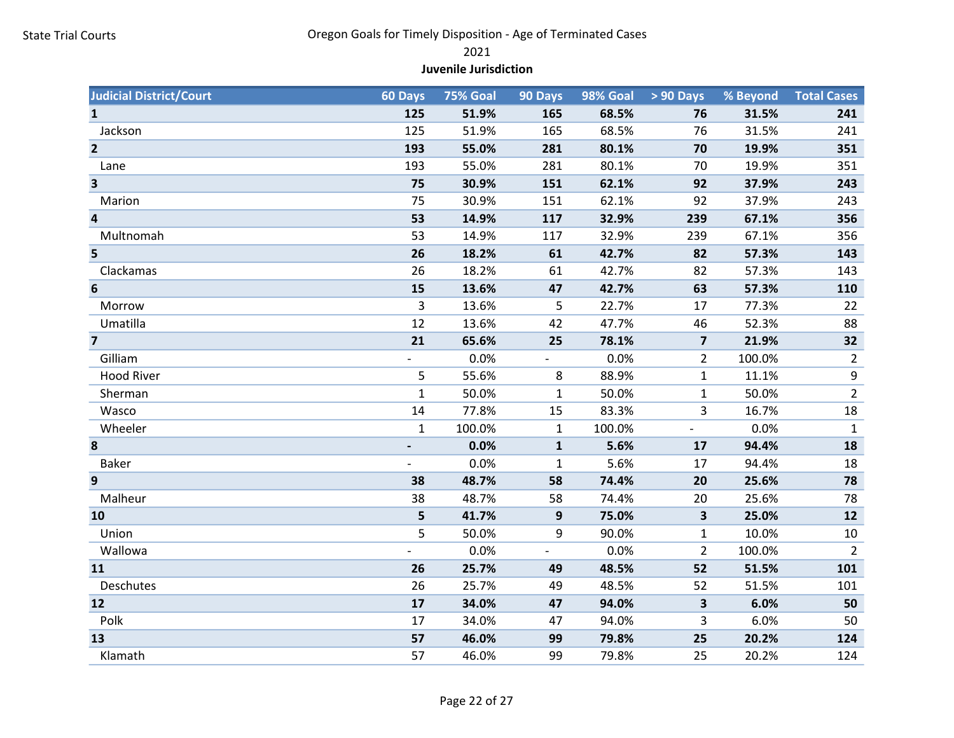#### 2021

#### Juvenile Jurisdiction

| <b>Judicial District/Court</b> | 60 Days      | 75% Goal | 90 Days                  | 98% Goal | $>90$ Days               | % Beyond | <b>Total Cases</b> |
|--------------------------------|--------------|----------|--------------------------|----------|--------------------------|----------|--------------------|
| $\mathbf{1}$                   | 125          | 51.9%    | 165                      | 68.5%    | 76                       | 31.5%    | 241                |
| Jackson                        | 125          | 51.9%    | 165                      | 68.5%    | 76                       | 31.5%    | 241                |
| $\overline{2}$                 | 193          | 55.0%    | 281                      | 80.1%    | 70                       | 19.9%    | 351                |
| Lane                           | 193          | 55.0%    | 281                      | 80.1%    | 70                       | 19.9%    | 351                |
| $\overline{\mathbf{3}}$        | 75           | 30.9%    | 151                      | 62.1%    | 92                       | 37.9%    | 243                |
| Marion                         | 75           | 30.9%    | 151                      | 62.1%    | 92                       | 37.9%    | 243                |
| $\overline{\mathbf{4}}$        | 53           | 14.9%    | 117                      | 32.9%    | 239                      | 67.1%    | 356                |
| Multnomah                      | 53           | 14.9%    | 117                      | 32.9%    | 239                      | 67.1%    | 356                |
| 5                              | 26           | 18.2%    | 61                       | 42.7%    | 82                       | 57.3%    | 143                |
| Clackamas                      | 26           | 18.2%    | 61                       | 42.7%    | 82                       | 57.3%    | 143                |
| 6                              | 15           | 13.6%    | 47                       | 42.7%    | 63                       | 57.3%    | 110                |
| Morrow                         | 3            | 13.6%    | 5                        | 22.7%    | 17                       | 77.3%    | 22                 |
| Umatilla                       | 12           | 13.6%    | 42                       | 47.7%    | 46                       | 52.3%    | 88                 |
| $\overline{7}$                 | 21           | 65.6%    | 25                       | 78.1%    | $\overline{\mathbf{z}}$  | 21.9%    | 32                 |
| Gilliam                        |              | 0.0%     | $\overline{\phantom{0}}$ | 0.0%     | 2                        | 100.0%   | $\overline{2}$     |
| <b>Hood River</b>              | 5            | 55.6%    | 8                        | 88.9%    | 1                        | 11.1%    | $\boldsymbol{9}$   |
| Sherman                        | $\mathbf 1$  | 50.0%    | $\mathbf{1}$             | 50.0%    | $\mathbf{1}$             | 50.0%    | $\overline{2}$     |
| Wasco                          | 14           | 77.8%    | 15                       | 83.3%    | 3                        | 16.7%    | 18                 |
| Wheeler                        | $\mathbf{1}$ | 100.0%   | $\mathbf{1}$             | 100.0%   | $\overline{\phantom{a}}$ | 0.0%     | $\mathbf{1}$       |
| 8                              |              | 0.0%     | $\mathbf{1}$             | 5.6%     | 17                       | 94.4%    | 18                 |
| Baker                          |              | 0.0%     | $\mathbf{1}$             | 5.6%     | 17                       | 94.4%    | 18                 |
| 9                              | 38           | 48.7%    | 58                       | 74.4%    | 20                       | 25.6%    | 78                 |
| Malheur                        | 38           | 48.7%    | 58                       | 74.4%    | 20                       | 25.6%    | 78                 |
| 10                             | 5            | 41.7%    | 9                        | 75.0%    | $\overline{\mathbf{3}}$  | 25.0%    | 12                 |
| Union                          | 5            | 50.0%    | 9                        | 90.0%    | 1                        | 10.0%    | 10                 |
| Wallowa                        |              | 0.0%     | ÷,                       | 0.0%     | $\overline{2}$           | 100.0%   | $\overline{2}$     |
| 11                             | 26           | 25.7%    | 49                       | 48.5%    | 52                       | 51.5%    | 101                |
| Deschutes                      | 26           | 25.7%    | 49                       | 48.5%    | 52                       | 51.5%    | 101                |
| 12                             | 17           | 34.0%    | 47                       | 94.0%    | 3                        | 6.0%     | 50                 |
| Polk                           | 17           | 34.0%    | 47                       | 94.0%    | 3                        | 6.0%     | 50                 |
| 13                             | 57           | 46.0%    | 99                       | 79.8%    | 25                       | 20.2%    | 124                |
| Klamath                        | 57           | 46.0%    | 99                       | 79.8%    | 25                       | 20.2%    | 124                |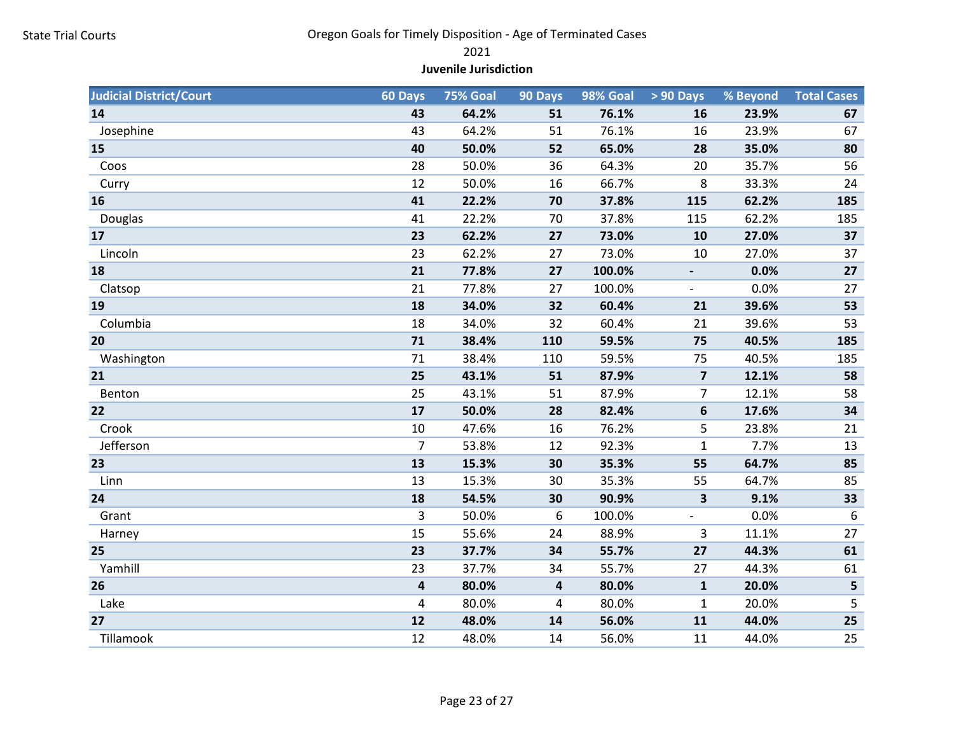#### 2021

#### Juvenile Jurisdiction

| <b>Judicial District/Court</b> | 60 Days                 | 75% Goal | 90 Days                 | 98% Goal | > 90 Days                | % Beyond | <b>Total Cases</b> |
|--------------------------------|-------------------------|----------|-------------------------|----------|--------------------------|----------|--------------------|
| 14                             | 43                      | 64.2%    | 51                      | 76.1%    | 16                       | 23.9%    | 67                 |
| Josephine                      | 43                      | 64.2%    | 51                      | 76.1%    | 16                       | 23.9%    | 67                 |
| 15                             | 40                      | 50.0%    | 52                      | 65.0%    | 28                       | 35.0%    | 80                 |
| Coos                           | 28                      | 50.0%    | 36                      | 64.3%    | 20                       | 35.7%    | 56                 |
| Curry                          | 12                      | 50.0%    | 16                      | 66.7%    | 8                        | 33.3%    | 24                 |
| 16                             | 41                      | 22.2%    | 70                      | 37.8%    | 115                      | 62.2%    | 185                |
| Douglas                        | 41                      | 22.2%    | 70                      | 37.8%    | 115                      | 62.2%    | 185                |
| 17                             | 23                      | 62.2%    | 27                      | 73.0%    | 10                       | 27.0%    | 37                 |
| Lincoln                        | 23                      | 62.2%    | 27                      | 73.0%    | 10                       | 27.0%    | 37                 |
| 18                             | 21                      | 77.8%    | 27                      | 100.0%   | $\blacksquare$           | 0.0%     | 27                 |
| Clatsop                        | 21                      | 77.8%    | 27                      | 100.0%   |                          | 0.0%     | 27                 |
| 19                             | 18                      | 34.0%    | 32                      | 60.4%    | 21                       | 39.6%    | 53                 |
| Columbia                       | 18                      | 34.0%    | 32                      | 60.4%    | 21                       | 39.6%    | 53                 |
| 20                             | 71                      | 38.4%    | 110                     | 59.5%    | 75                       | 40.5%    | 185                |
| Washington                     | 71                      | 38.4%    | 110                     | 59.5%    | 75                       | 40.5%    | 185                |
| 21                             | 25                      | 43.1%    | 51                      | 87.9%    | $\overline{7}$           | 12.1%    | 58                 |
| Benton                         | 25                      | 43.1%    | 51                      | 87.9%    | $\overline{7}$           | 12.1%    | 58                 |
| 22                             | 17                      | 50.0%    | 28                      | 82.4%    | 6                        | 17.6%    | 34                 |
| Crook                          | 10                      | 47.6%    | 16                      | 76.2%    | 5                        | 23.8%    | 21                 |
| Jefferson                      | $\overline{7}$          | 53.8%    | 12                      | 92.3%    | $\mathbf 1$              | 7.7%     | 13                 |
| 23                             | 13                      | 15.3%    | 30                      | 35.3%    | 55                       | 64.7%    | 85                 |
| Linn                           | 13                      | 15.3%    | 30                      | 35.3%    | 55                       | 64.7%    | 85                 |
| 24                             | 18                      | 54.5%    | 30                      | 90.9%    | 3                        | 9.1%     | 33                 |
| Grant                          | 3                       | 50.0%    | 6                       | 100.0%   | $\overline{\phantom{a}}$ | 0.0%     | 6                  |
| Harney                         | 15                      | 55.6%    | 24                      | 88.9%    | 3                        | 11.1%    | 27                 |
| 25                             | 23                      | 37.7%    | 34                      | 55.7%    | 27                       | 44.3%    | 61                 |
| Yamhill                        | 23                      | 37.7%    | 34                      | 55.7%    | 27                       | 44.3%    | 61                 |
| 26                             | $\overline{\mathbf{4}}$ | 80.0%    | $\overline{\mathbf{4}}$ | 80.0%    | $\mathbf{1}$             | 20.0%    | 5                  |
| Lake                           | 4                       | 80.0%    | 4                       | 80.0%    | $\mathbf{1}$             | 20.0%    | 5                  |
| 27                             | 12                      | 48.0%    | 14                      | 56.0%    | 11                       | 44.0%    | 25                 |
| Tillamook                      | 12                      | 48.0%    | 14                      | 56.0%    | 11                       | 44.0%    | 25                 |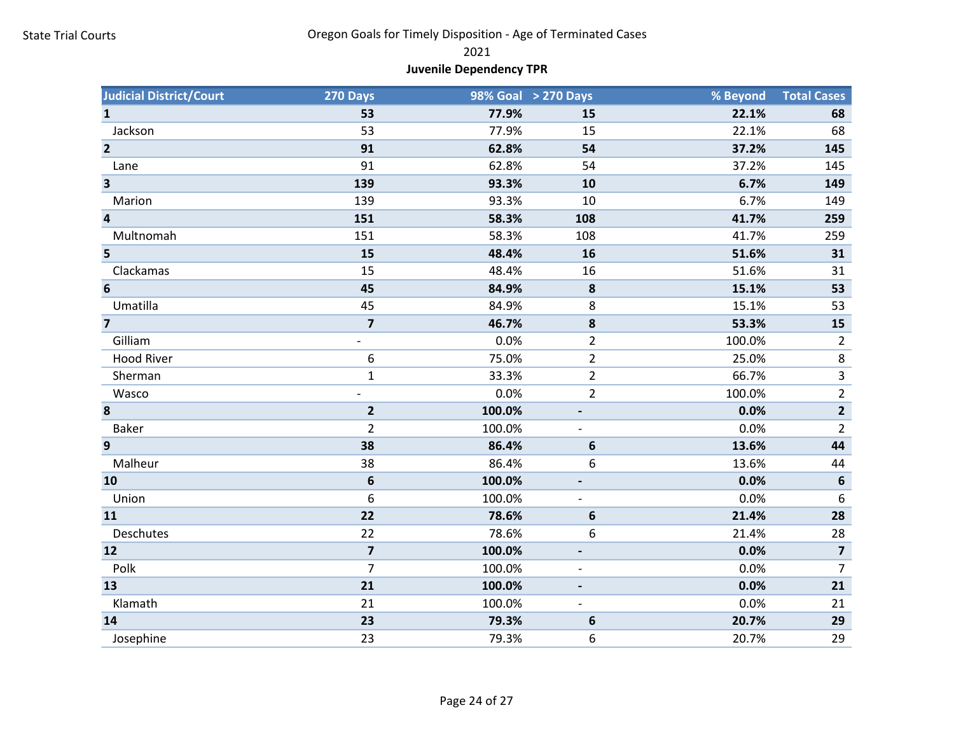2021

# Juvenile Dependency TPR

| <b>Judicial District/Court</b> | 270 Days                |        | 98% Goal > 270 Days      | % Beyond | <b>Total Cases</b>      |
|--------------------------------|-------------------------|--------|--------------------------|----------|-------------------------|
| $\mathbf{1}$                   | 53                      | 77.9%  | 15                       | 22.1%    | 68                      |
| Jackson                        | 53                      | 77.9%  | 15                       | 22.1%    | 68                      |
| $\overline{2}$                 | 91                      | 62.8%  | 54                       | 37.2%    | 145                     |
| Lane                           | 91                      | 62.8%  | 54                       | 37.2%    | 145                     |
| $\overline{\mathbf{3}}$        | 139                     | 93.3%  | 10                       | 6.7%     | 149                     |
| Marion                         | 139                     | 93.3%  | 10                       | 6.7%     | 149                     |
| $\overline{\mathbf{4}}$        | 151                     | 58.3%  | 108                      | 41.7%    | 259                     |
| Multnomah                      | 151                     | 58.3%  | 108                      | 41.7%    | 259                     |
| 5                              | 15                      | 48.4%  | 16                       | 51.6%    | 31                      |
| Clackamas                      | 15                      | 48.4%  | 16                       | 51.6%    | 31                      |
| $6\phantom{1}6$                | 45                      | 84.9%  | 8                        | 15.1%    | 53                      |
| Umatilla                       | 45                      | 84.9%  | 8                        | 15.1%    | 53                      |
| $\overline{7}$                 | $\overline{7}$          | 46.7%  | 8                        | 53.3%    | 15                      |
| Gilliam                        |                         | 0.0%   | $\overline{2}$           | 100.0%   | $\overline{2}$          |
| <b>Hood River</b>              | 6                       | 75.0%  | $\overline{2}$           | 25.0%    | $\,8\,$                 |
| Sherman                        | $\mathbf{1}$            | 33.3%  | $\overline{2}$           | 66.7%    | $\overline{3}$          |
| Wasco                          |                         | 0.0%   | $\overline{2}$           | 100.0%   | $\overline{2}$          |
| 8                              | $\overline{2}$          | 100.0% |                          | 0.0%     | $\mathbf{2}$            |
| Baker                          | $\overline{2}$          | 100.0% |                          | 0.0%     | $\overline{2}$          |
| $\mathbf{9}$                   | 38                      | 86.4%  | 6                        | 13.6%    | 44                      |
| Malheur                        | 38                      | 86.4%  | 6                        | 13.6%    | 44                      |
| 10                             | 6                       | 100.0% |                          | 0.0%     | $\boldsymbol{6}$        |
| Union                          | 6                       | 100.0% |                          | 0.0%     | 6                       |
| 11                             | 22                      | 78.6%  | 6                        | 21.4%    | 28                      |
| Deschutes                      | 22                      | 78.6%  | 6                        | 21.4%    | 28                      |
| 12                             | $\overline{\mathbf{z}}$ | 100.0% |                          | 0.0%     | $\overline{\mathbf{z}}$ |
| Polk                           | $\overline{7}$          | 100.0% | $\overline{\phantom{a}}$ | 0.0%     | $\overline{7}$          |
| 13                             | 21                      | 100.0% |                          | 0.0%     | 21                      |
| Klamath                        | 21                      | 100.0% |                          | 0.0%     | 21                      |
| 14                             | 23                      | 79.3%  | 6                        | 20.7%    | 29                      |
| Josephine                      | 23                      | 79.3%  | 6                        | 20.7%    | 29                      |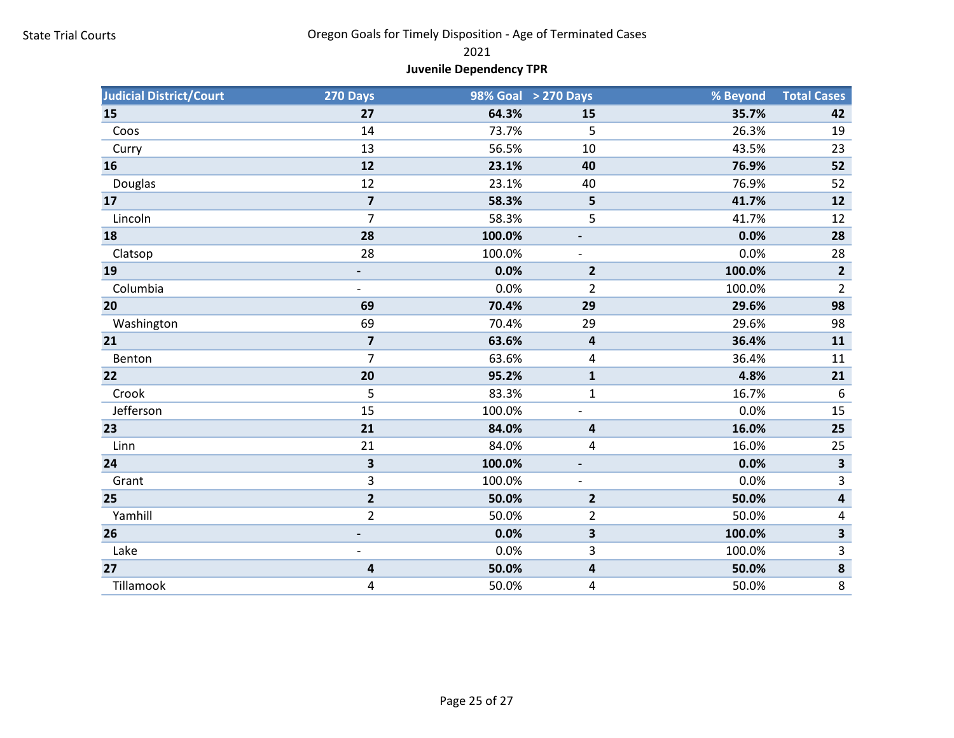2021

# Juvenile Dependency TPR

| <b>Judicial District/Court</b> | 270 Days                |        | 98% Goal > 270 Days     | % Beyond | <b>Total Cases</b>      |
|--------------------------------|-------------------------|--------|-------------------------|----------|-------------------------|
| 15                             | 27                      | 64.3%  | 15                      | 35.7%    | 42                      |
| Coos                           | 14                      | 73.7%  | 5                       | 26.3%    | 19                      |
| Curry                          | 13                      | 56.5%  | 10                      | 43.5%    | 23                      |
| 16                             | 12                      | 23.1%  | 40                      | 76.9%    | 52                      |
| Douglas                        | 12                      | 23.1%  | 40                      | 76.9%    | 52                      |
| 17                             | $\overline{\mathbf{z}}$ | 58.3%  | 5                       | 41.7%    | 12                      |
| Lincoln                        | $\overline{7}$          | 58.3%  | 5                       | 41.7%    | 12                      |
| 18                             | 28                      | 100.0% |                         | 0.0%     | 28                      |
| Clatsop                        | 28                      | 100.0% |                         | 0.0%     | 28                      |
| 19                             |                         | 0.0%   | $\overline{2}$          | 100.0%   | $\overline{2}$          |
| Columbia                       |                         | 0.0%   | $\overline{2}$          | 100.0%   | $\overline{2}$          |
| 20                             | 69                      | 70.4%  | 29                      | 29.6%    | 98                      |
| Washington                     | 69                      | 70.4%  | 29                      | 29.6%    | 98                      |
| 21                             | $\overline{7}$          | 63.6%  | 4                       | 36.4%    | 11                      |
| Benton                         | $\overline{7}$          | 63.6%  | 4                       | 36.4%    | 11                      |
| 22                             | 20                      | 95.2%  | $\mathbf{1}$            | 4.8%     | 21                      |
| Crook                          | 5                       | 83.3%  | 1                       | 16.7%    | 6                       |
| Jefferson                      | 15                      | 100.0% |                         | 0.0%     | 15                      |
| 23                             | 21                      | 84.0%  | 4                       | 16.0%    | 25                      |
| Linn                           | 21                      | 84.0%  | 4                       | 16.0%    | 25                      |
| 24                             | 3                       | 100.0% |                         | 0.0%     | $\overline{\mathbf{3}}$ |
| Grant                          | 3                       | 100.0% |                         | 0.0%     | 3                       |
| 25                             | $\overline{2}$          | 50.0%  | $\overline{2}$          | 50.0%    | 4                       |
| Yamhill                        | $\overline{2}$          | 50.0%  | 2                       | 50.0%    | 4                       |
| 26                             |                         | 0.0%   | $\overline{\mathbf{3}}$ | 100.0%   | 3                       |
| Lake                           |                         | 0.0%   | 3                       | 100.0%   | 3                       |
| 27                             | 4                       | 50.0%  | 4                       | 50.0%    | $\pmb{8}$               |
| Tillamook                      | 4                       | 50.0%  | 4                       | 50.0%    | 8                       |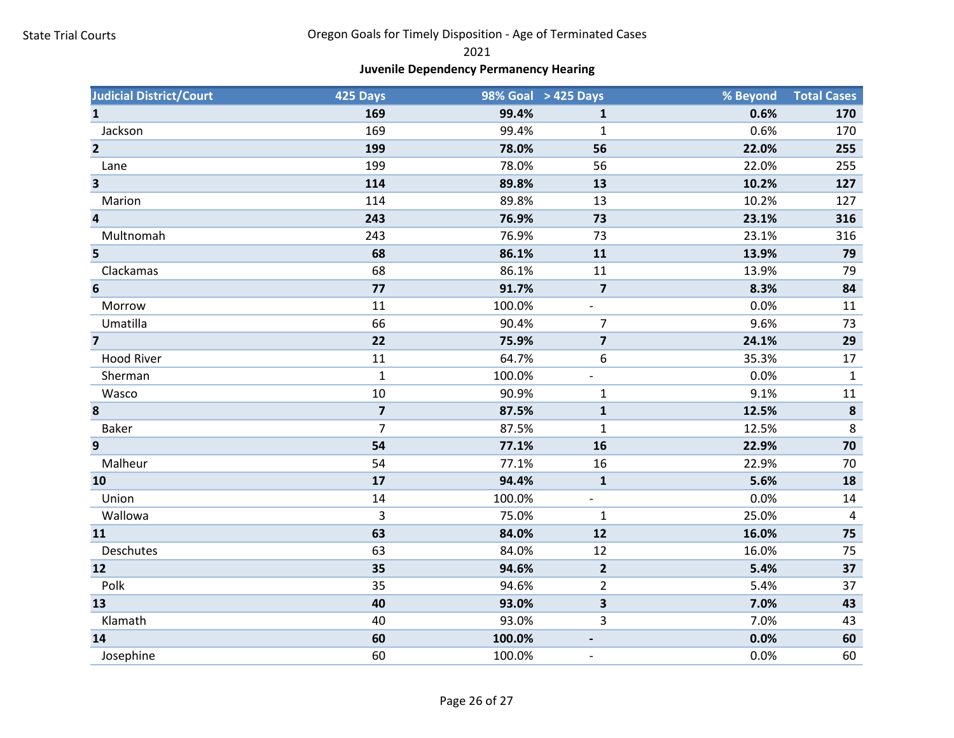2021

# Juvenile Dependency Permanency Hearing

| <b>Judicial District/Court</b> | 425 Days                |        | 98% Goal > 425 Days      | % Beyond | <b>Total Cases</b> |
|--------------------------------|-------------------------|--------|--------------------------|----------|--------------------|
| $\mathbf{1}$                   | 169                     | 99.4%  | $\mathbf{1}$             | 0.6%     | 170                |
| Jackson                        | 169                     | 99.4%  | $\mathbf{1}$             | 0.6%     | 170                |
| $\overline{\mathbf{2}}$        | 199                     | 78.0%  | 56                       | 22.0%    | 255                |
| Lane                           | 199                     | 78.0%  | 56                       | 22.0%    | 255                |
| $\overline{\mathbf{3}}$        | 114                     | 89.8%  | 13                       | 10.2%    | 127                |
| Marion                         | 114                     | 89.8%  | 13                       | 10.2%    | 127                |
| $\overline{\mathbf{4}}$        | 243                     | 76.9%  | 73                       | 23.1%    | 316                |
| Multnomah                      | 243                     | 76.9%  | 73                       | 23.1%    | 316                |
| 5                              | 68                      | 86.1%  | 11                       | 13.9%    | 79                 |
| Clackamas                      | 68                      | 86.1%  | 11                       | 13.9%    | 79                 |
| $6\phantom{1}6$                | 77                      | 91.7%  | $\overline{7}$           | 8.3%     | 84                 |
| Morrow                         | 11                      | 100.0% | $\overline{\phantom{a}}$ | 0.0%     | 11                 |
| Umatilla                       | 66                      | 90.4%  | $\overline{7}$           | 9.6%     | 73                 |
| $\overline{7}$                 | 22                      | 75.9%  | $\overline{\mathbf{z}}$  | 24.1%    | 29                 |
| <b>Hood River</b>              | 11                      | 64.7%  | 6                        | 35.3%    | 17                 |
| Sherman                        | $\mathbf{1}$            | 100.0% | $\overline{\phantom{a}}$ | 0.0%     | $\mathbf{1}$       |
| Wasco                          | 10                      | 90.9%  | $\mathbf{1}$             | 9.1%     | 11                 |
| 8                              | $\overline{\mathbf{z}}$ | 87.5%  | $\mathbf 1$              | 12.5%    | $\pmb{8}$          |
| <b>Baker</b>                   | $\overline{7}$          | 87.5%  | 1                        | 12.5%    | 8                  |
| 9                              | 54                      | 77.1%  | 16                       | 22.9%    | 70                 |
| Malheur                        | 54                      | 77.1%  | 16                       | 22.9%    | 70                 |
| 10                             | 17                      | 94.4%  | ${\bf 1}$                | 5.6%     | 18                 |
| Union                          | 14                      | 100.0% | $\overline{\phantom{a}}$ | 0.0%     | 14                 |
| Wallowa                        | $\overline{3}$          | 75.0%  | $\mathbf{1}$             | 25.0%    | $\overline{4}$     |
| 11                             | 63                      | 84.0%  | 12                       | 16.0%    | 75                 |
| Deschutes                      | 63                      | 84.0%  | 12                       | 16.0%    | 75                 |
| 12                             | 35                      | 94.6%  | $\overline{2}$           | 5.4%     | 37                 |
| Polk                           | 35                      | 94.6%  | $\overline{2}$           | 5.4%     | 37                 |
| 13                             | 40                      | 93.0%  | 3                        | 7.0%     | 43                 |
| Klamath                        | 40                      | 93.0%  | 3                        | 7.0%     | 43                 |
| 14                             | 60                      | 100.0% |                          | 0.0%     | 60                 |
| Josephine                      | 60                      | 100.0% |                          | 0.0%     | 60                 |